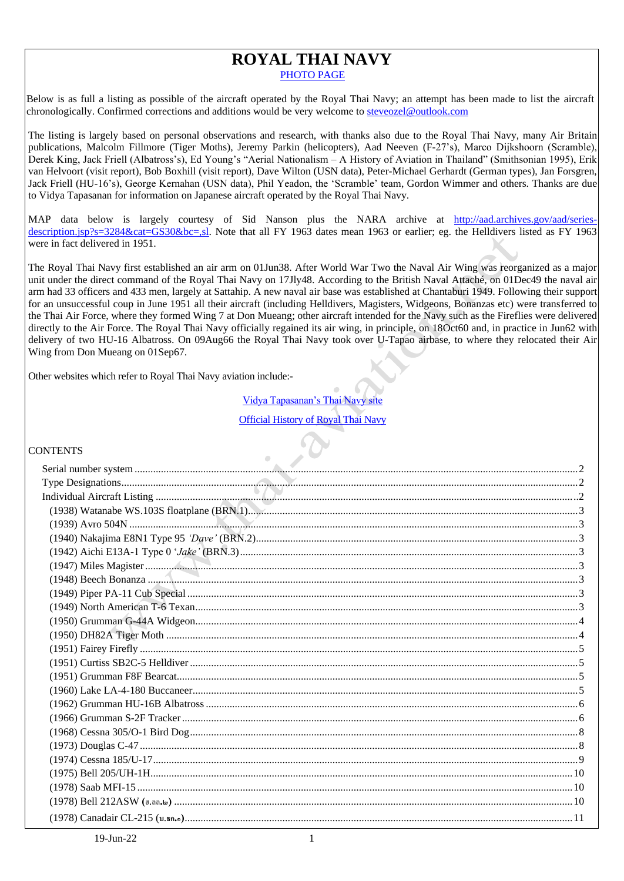# **ROYAL THAI NAVY** [PHOTO PAGE](https://www.flickr.com/photos/66556342@N03/collections/72157654396363211/)

Below is as full a listing as possible of the aircraft operated by the Royal Thai Navy; an attempt has been made to list the aircraft chronologically. Confirmed corrections and additions would be very welcome to [steveozel@outlook.com](mailto:steveozel@outlook.com)

The listing is largely based on personal observations and research, with thanks also due to the Royal Thai Navy, many Air Britain publications, Malcolm Fillmore (Tiger Moths), Jeremy Parkin (helicopters), Aad Neeven (F-27's), Marco Dijkshoorn (Scramble), Derek King, Jack Friell (Albatross's), Ed Young's "Aerial Nationalism – A History of Aviation in Thailand" (Smithsonian 1995), Erik van Helvoort (visit report), Bob Boxhill (visit report), Dave Wilton (USN data), Peter-Michael Gerhardt (German types), Jan Forsgren, Jack Friell (HU-16's), George Kernahan (USN data), Phil Yeadon, the 'Scramble' team, Gordon Wimmer and others. Thanks are due to Vidya Tapasanan for information on Japanese aircraft operated by the Royal Thai Navy.

MAP data below is largely courtesy of Sid Nanson plus the NARA archive at [http://aad.archives.gov/aad/series](http://aad.archives.gov/aad/series-description.jsp?s=3284&cat=GS30&bc=,sl)[description.jsp?s=3284&cat=GS30&bc=,sl.](http://aad.archives.gov/aad/series-description.jsp?s=3284&cat=GS30&bc=,sl) Note that all FY 1963 dates mean 1963 or earlier; eg. the Helldivers listed as FY 1963 were in fact delivered in 1951.

The Royal Thai Navy first established an air arm on 01Jun38. After World War Two the Naval Air Wing was reorganized as a major unit under the direct command of the Royal Thai Navy on 17Jly48. According to the British Naval Attaché, on 01Dec49 the naval air arm had 33 officers and 433 men, largely at Sattahip. A new naval air base was established at Chantaburi 1949. Following their support for an unsuccessful coup in June 1951 all their aircraft (including Helldivers, Magisters, Widgeons, Bonanzas etc) were transferred to the Thai Air Force, where they formed Wing 7 at Don Mueang; other aircraft intended for the Navy such as the Fireflies were delivered directly to the Air Force. The Royal Thai Navy officially regained its air wing, in principle, on 18Oct60 and, in practice in Jun62 with delivery of two HU-16 Albatross. On 09Aug66 the Royal Thai Navy took over U-Tapao airbase, to where they relocated their Air Wing from Don Mueang on 01Sep67.

Other websites which refer to Royal Thai Navy aviation include:-

Vidya Tapasanan's Thai Navy Official [History of Royal Thai Navy](http://www.navy.mi.th/newwww/document/history/history_rtn/content2_3.php)

# **CONTENTS**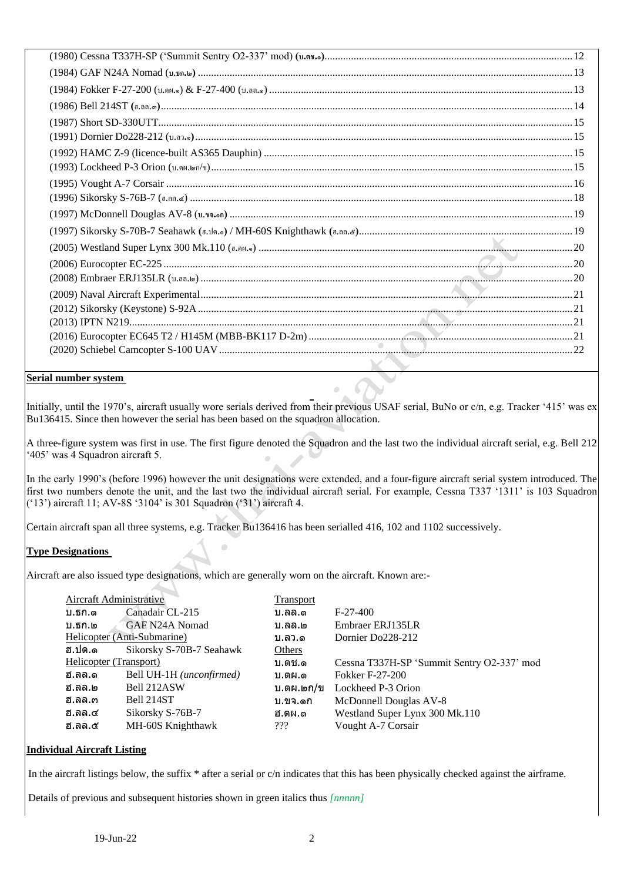# <span id="page-1-0"></span>**Serial number system**

Initially, until the 1970's, aircraft usually wore serials derived from their previous USAF serial, BuNo or c/n, e.g. Tracker '415' was ex Bu136415. Since then however the serial has been based on the squadron allocation.

×

A three-figure system was first in use. The first figure denoted the Squadron and the last two the individual aircraft serial, e.g. Bell 212 '405' was 4 Squadron aircraft 5.

In the early 1990's (before 1996) however the unit designations were extended, and a four-figure aircraft serial system introduced. The first two numbers denote the unit, and the last two the individual aircraft serial. For example, Cessna T337 '1311' is 103 Squadron ('13') aircraft 11; AV-8S '3104' is 301 Squadron ('31') aircraft 4.

Certain aircraft span all three systems, e.g. Tracker Bu136416 has been serialled 416, 102 and 1102 successively.

# <span id="page-1-1"></span>**Type Designations**

Aircraft are also issued type designations, which are generally worn on the aircraft. Known are:-

Ċ

| Aircraft Administrative |                             | <b>Transport</b> |                                            |
|-------------------------|-----------------------------|------------------|--------------------------------------------|
| บ.ธก.ด                  | Canadair CL-215             | บ.ลล.ด           | $F-27-400$                                 |
| บ.ธก.๒                  | GAF N24A Nomad              | บ.ลล.๒           | Embraer ERJ135LR                           |
|                         | Helicopter (Anti-Submarine) | บ.ลว.ด           | Dornier Do228-212                          |
| ฮ.ปด.๑                  | Sikorsky S-70B-7 Seahawk    | Others           |                                            |
| Helicopter (Transport)  |                             | บ.ตช.ด           | Cessna T337H-SP 'Summit Sentry O2-337' mod |
| ฮ.ลล.ด                  | Bell UH-1H (unconfirmed)    | บ.ตผ.ด           | <b>Fokker F-27-200</b>                     |
| ฮ.ลล.๒                  | Bell 212ASW                 | บ.ตผ.๒ก/ข        | Lockheed P-3 Orion                         |
| ฮ.ลล.๓                  | Bell 214ST                  | บ.ขจ.ดก          | McDonnell Douglas AV-8                     |
| ฮ.ลล.๔                  | Sikorsky S-76B-7            | ฮ.ตผ.ด           | Westland Super Lynx 300 Mk.110             |
| ฮ.ลล.๕                  | MH-60S Knighthawk           | 222              | Vought A-7 Corsair                         |
|                         |                             |                  |                                            |

# <span id="page-1-2"></span>**Individual Aircraft Listing**

In the aircraft listings below, the suffix \* after a serial or c/n indicates that this has been physically checked against the airframe.

Details of previous and subsequent histories shown in green italics thus *[nnnnn]*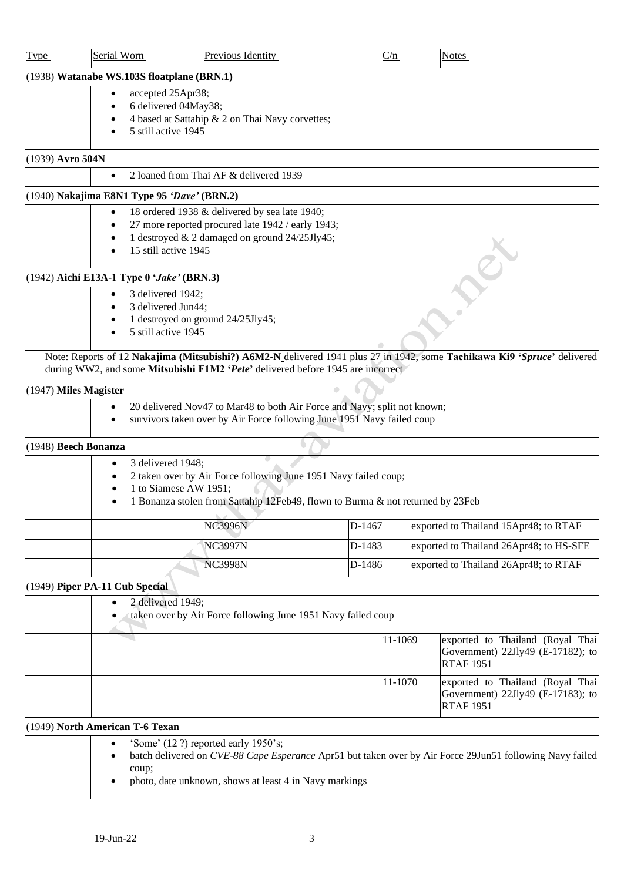<span id="page-2-7"></span><span id="page-2-6"></span><span id="page-2-5"></span><span id="page-2-4"></span><span id="page-2-3"></span><span id="page-2-2"></span><span id="page-2-1"></span><span id="page-2-0"></span>

| <b>Type</b>           | Serial Worn                                                                                                                                                                              | Previous Identity                                                                                                                                  |        | C/n     |  | <b>Notes</b>                                                                                                            |  |  |  |
|-----------------------|------------------------------------------------------------------------------------------------------------------------------------------------------------------------------------------|----------------------------------------------------------------------------------------------------------------------------------------------------|--------|---------|--|-------------------------------------------------------------------------------------------------------------------------|--|--|--|
|                       | (1938) Watanabe WS.103S floatplane (BRN.1)                                                                                                                                               |                                                                                                                                                    |        |         |  |                                                                                                                         |  |  |  |
|                       | accepted 25Apr38;<br>6 delivered 04May38;<br>5 still active 1945                                                                                                                         | 4 based at Sattahip & 2 on Thai Navy corvettes;                                                                                                    |        |         |  |                                                                                                                         |  |  |  |
| (1939) Avro 504N      |                                                                                                                                                                                          |                                                                                                                                                    |        |         |  |                                                                                                                         |  |  |  |
|                       | $\bullet$                                                                                                                                                                                | 2 loaned from Thai AF & delivered 1939                                                                                                             |        |         |  |                                                                                                                         |  |  |  |
|                       | (1940) Nakajima E8N1 Type 95 'Dave' (BRN.2)                                                                                                                                              |                                                                                                                                                    |        |         |  |                                                                                                                         |  |  |  |
|                       | 18 ordered 1938 & delivered by sea late 1940;<br>$\bullet$<br>27 more reported procured late 1942 / early 1943;<br>1 destroyed & 2 damaged on ground 24/25Jly45;<br>15 still active 1945 |                                                                                                                                                    |        |         |  |                                                                                                                         |  |  |  |
|                       | (1942) Aichi E13A-1 Type 0 'Jake' (BRN.3)                                                                                                                                                |                                                                                                                                                    |        |         |  |                                                                                                                         |  |  |  |
|                       | 3 delivered 1942;<br>3 delivered Jun44;<br>5 still active 1945                                                                                                                           | 1 destroyed on ground 24/25Jly45;                                                                                                                  |        |         |  |                                                                                                                         |  |  |  |
|                       |                                                                                                                                                                                          | during WW2, and some Mitsubishi F1M2 'Pete' delivered before 1945 are incorrect                                                                    |        |         |  | Note: Reports of 12 Nakajima (Mitsubishi?) A6M2-N delivered 1941 plus 27 in 1942, some Tachikawa Ki9 'Spruce' delivered |  |  |  |
| (1947) Miles Magister |                                                                                                                                                                                          |                                                                                                                                                    |        |         |  |                                                                                                                         |  |  |  |
|                       | ٠                                                                                                                                                                                        | 20 delivered Nov47 to Mar48 to both Air Force and Navy; split not known;<br>survivors taken over by Air Force following June 1951 Navy failed coup |        |         |  |                                                                                                                         |  |  |  |
| (1948) Beech Bonanza  |                                                                                                                                                                                          |                                                                                                                                                    |        |         |  |                                                                                                                         |  |  |  |
|                       | 3 delivered 1948;<br>$\bullet$<br>1 to Siamese AW 1951;                                                                                                                                  | 2 taken over by Air Force following June 1951 Navy failed coup;<br>1 Bonanza stolen from Sattahip 12Feb49, flown to Burma & not returned by 23Feb  |        |         |  |                                                                                                                         |  |  |  |
|                       |                                                                                                                                                                                          | <b>NC3996N</b>                                                                                                                                     | D-1467 |         |  | exported to Thailand 15Apr48; to RTAF                                                                                   |  |  |  |
|                       |                                                                                                                                                                                          | <b>NC3997N</b>                                                                                                                                     | D-1483 |         |  | exported to Thailand 26Apr48; to HS-SFE                                                                                 |  |  |  |
|                       |                                                                                                                                                                                          | <b>NC3998N</b>                                                                                                                                     | D-1486 |         |  | exported to Thailand 26Apr48; to RTAF                                                                                   |  |  |  |
|                       | (1949) Piper PA-11 Cub Special<br>2 delivered 1949;                                                                                                                                      | taken over by Air Force following June 1951 Navy failed coup                                                                                       |        |         |  |                                                                                                                         |  |  |  |
|                       |                                                                                                                                                                                          |                                                                                                                                                    |        | 11-1069 |  | exported to Thailand (Royal Thai<br>Government) 22Jly49 (E-17182); to<br><b>RTAF 1951</b>                               |  |  |  |
|                       |                                                                                                                                                                                          |                                                                                                                                                    |        | 11-1070 |  | exported to Thailand (Royal Thai<br>Government) 22Jly49 (E-17183); to<br><b>RTAF 1951</b>                               |  |  |  |
|                       | (1949) North American T-6 Texan                                                                                                                                                          |                                                                                                                                                    |        |         |  |                                                                                                                         |  |  |  |
|                       | coup;                                                                                                                                                                                    | 'Some' (12 ?) reported early 1950's;<br>photo, date unknown, shows at least 4 in Navy markings                                                     |        |         |  | batch delivered on CVE-88 Cape Esperance Apr51 but taken over by Air Force 29Jun51 following Navy failed                |  |  |  |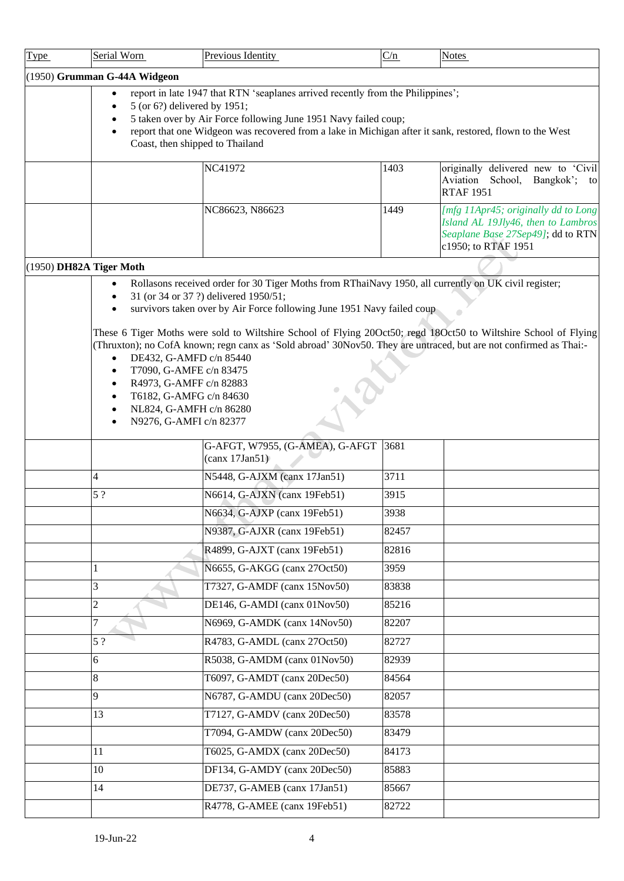<span id="page-3-1"></span><span id="page-3-0"></span>

| <b>Type</b> | Serial Worn                  | Previous Identity                                                                                                                                                                                                                                                                                                     | C/n   | <b>Notes</b>                                                                                                                          |
|-------------|------------------------------|-----------------------------------------------------------------------------------------------------------------------------------------------------------------------------------------------------------------------------------------------------------------------------------------------------------------------|-------|---------------------------------------------------------------------------------------------------------------------------------------|
|             | (1950) Grumman G-44A Widgeon |                                                                                                                                                                                                                                                                                                                       |       |                                                                                                                                       |
|             |                              | report in late 1947 that RTN 'seaplanes arrived recently from the Philippines';                                                                                                                                                                                                                                       |       |                                                                                                                                       |
|             |                              | 5 (or 6?) delivered by 1951;<br>5 taken over by Air Force following June 1951 Navy failed coup;                                                                                                                                                                                                                       |       |                                                                                                                                       |
|             |                              | report that one Widgeon was recovered from a lake in Michigan after it sank, restored, flown to the West                                                                                                                                                                                                              |       |                                                                                                                                       |
|             |                              | Coast, then shipped to Thailand                                                                                                                                                                                                                                                                                       |       |                                                                                                                                       |
|             |                              | NC41972                                                                                                                                                                                                                                                                                                               | 1403  | originally delivered new to Civil                                                                                                     |
|             |                              |                                                                                                                                                                                                                                                                                                                       |       | Aviation School, Bangkok';<br>to<br><b>RTAF 1951</b>                                                                                  |
|             |                              | NC86623, N86623                                                                                                                                                                                                                                                                                                       | 1449  | [mfg 11Apr45; originally dd to Long<br>Island AL 19Jly46, then to Lambros<br>Seaplane Base 27Sep49]; dd to RTN<br>c1950; to RTAF 1951 |
|             | (1950) DH82A Tiger Moth      |                                                                                                                                                                                                                                                                                                                       |       |                                                                                                                                       |
|             |                              | Rollasons received order for 30 Tiger Moths from RThaiNavy 1950, all currently on UK civil register;                                                                                                                                                                                                                  |       |                                                                                                                                       |
|             |                              | 31 (or 34 or 37 ?) delivered 1950/51;<br>survivors taken over by Air Force following June 1951 Navy failed coup                                                                                                                                                                                                       |       |                                                                                                                                       |
|             | $\bullet$<br>$\bullet$       | These 6 Tiger Moths were sold to Wiltshire School of Flying 20Oct50; regd 18Oct50 to Wiltshire School of Flying<br>(Thruxton); no CofA known; regn canx as 'Sold abroad' 30Nov50. They are untraced, but are not confirmed as Thai:-<br>DE432, G-AMFD c/n 85440<br>T7090, G-AMFE c/n 83475<br>R4973, G-AMFF c/n 82883 |       |                                                                                                                                       |
|             |                              | T6182, G-AMFG c/n 84630                                                                                                                                                                                                                                                                                               |       |                                                                                                                                       |
|             |                              | NL824, G-AMFH c/n 86280                                                                                                                                                                                                                                                                                               |       |                                                                                                                                       |
|             |                              | N9276, G-AMFI c/n 82377                                                                                                                                                                                                                                                                                               |       |                                                                                                                                       |
|             |                              | G-AFGT, W7955, (G-AMEA), G-AFGT<br>(canx 17Jan51)                                                                                                                                                                                                                                                                     | 3681  |                                                                                                                                       |
|             | 4                            | N5448, G-AJXM (canx 17Jan51)                                                                                                                                                                                                                                                                                          | 3711  |                                                                                                                                       |
|             | 5?                           | N6614, G-AJXN (canx 19Feb51)                                                                                                                                                                                                                                                                                          | 3915  |                                                                                                                                       |
|             |                              | N6634, G-AJXP (canx 19Feb51)                                                                                                                                                                                                                                                                                          | 3938  |                                                                                                                                       |
|             |                              | N9387, G-AJXR (canx 19Feb51)                                                                                                                                                                                                                                                                                          | 82457 |                                                                                                                                       |
|             |                              | R4899, G-AJXT (canx 19Feb51)                                                                                                                                                                                                                                                                                          | 82816 |                                                                                                                                       |
|             |                              | N6655, G-AKGG (canx 27Oct50)                                                                                                                                                                                                                                                                                          | 3959  |                                                                                                                                       |
|             | 3                            | T7327, G-AMDF (canx 15Nov50)                                                                                                                                                                                                                                                                                          | 83838 |                                                                                                                                       |
|             | $\overline{c}$               | DE146, G-AMDI (canx 01Nov50)                                                                                                                                                                                                                                                                                          | 85216 |                                                                                                                                       |
|             | 7                            | N6969, G-AMDK (canx 14Nov50)                                                                                                                                                                                                                                                                                          | 82207 |                                                                                                                                       |
|             | 5?                           | R4783, G-AMDL (canx 27Oct50)                                                                                                                                                                                                                                                                                          | 82727 |                                                                                                                                       |
|             | 6                            | R5038, G-AMDM (canx 01Nov50)                                                                                                                                                                                                                                                                                          | 82939 |                                                                                                                                       |
|             | 8                            | T6097, G-AMDT (canx 20Dec50)                                                                                                                                                                                                                                                                                          | 84564 |                                                                                                                                       |
|             | 9                            | N6787, G-AMDU (canx 20Dec50)                                                                                                                                                                                                                                                                                          | 82057 |                                                                                                                                       |
|             | 13                           | T7127, G-AMDV (canx 20Dec50)                                                                                                                                                                                                                                                                                          | 83578 |                                                                                                                                       |
|             |                              | T7094, G-AMDW (canx 20Dec50)                                                                                                                                                                                                                                                                                          | 83479 |                                                                                                                                       |
|             | 11                           | T6025, G-AMDX (canx 20Dec50)                                                                                                                                                                                                                                                                                          | 84173 |                                                                                                                                       |
|             | 10                           | DF134, G-AMDY (canx 20Dec50)                                                                                                                                                                                                                                                                                          | 85883 |                                                                                                                                       |
|             | 14                           | DE737, G-AMEB (canx 17Jan51)                                                                                                                                                                                                                                                                                          | 85667 |                                                                                                                                       |
|             |                              | R4778, G-AMEE (canx 19Feb51)                                                                                                                                                                                                                                                                                          | 82722 |                                                                                                                                       |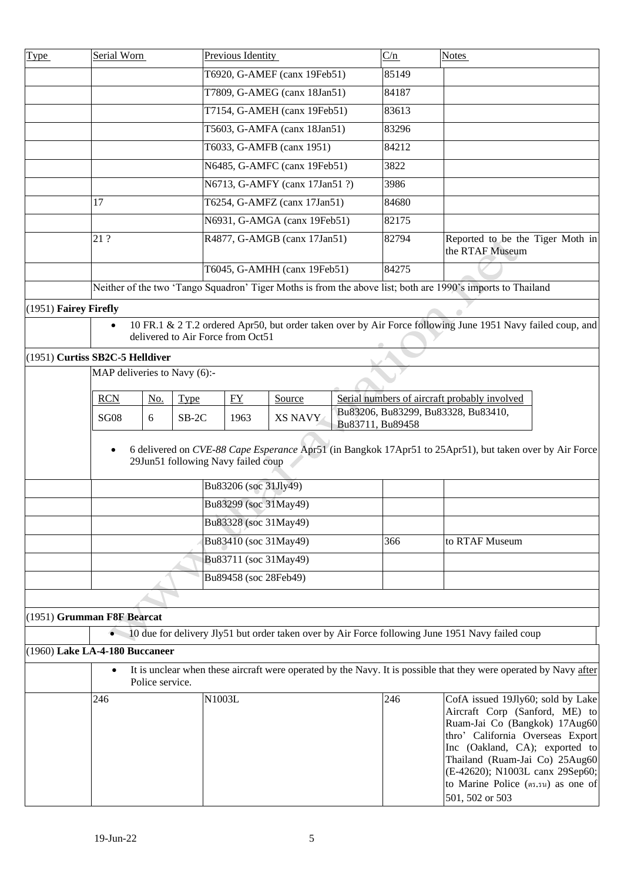<span id="page-4-3"></span><span id="page-4-2"></span><span id="page-4-1"></span><span id="page-4-0"></span>

| <b>Type</b> | Serial Worn                     |                 |                                    | Previous Identity                              |                                |                  | C/n   | <b>Notes</b>                                                                                                                                                                                                                                                                                             |
|-------------|---------------------------------|-----------------|------------------------------------|------------------------------------------------|--------------------------------|------------------|-------|----------------------------------------------------------------------------------------------------------------------------------------------------------------------------------------------------------------------------------------------------------------------------------------------------------|
|             |                                 |                 |                                    |                                                | T6920, G-AMEF (canx 19Feb51)   |                  | 85149 |                                                                                                                                                                                                                                                                                                          |
|             |                                 |                 |                                    |                                                | T7809, G-AMEG (canx 18Jan51)   |                  | 84187 |                                                                                                                                                                                                                                                                                                          |
|             |                                 |                 |                                    |                                                | T7154, G-AMEH (canx 19Feb51)   |                  | 83613 |                                                                                                                                                                                                                                                                                                          |
|             |                                 |                 |                                    |                                                | T5603, G-AMFA (canx 18Jan51)   |                  | 83296 |                                                                                                                                                                                                                                                                                                          |
|             |                                 |                 |                                    |                                                | T6033, G-AMFB (canx 1951)      |                  | 84212 |                                                                                                                                                                                                                                                                                                          |
|             |                                 |                 |                                    |                                                | N6485, G-AMFC (canx 19Feb51)   |                  | 3822  |                                                                                                                                                                                                                                                                                                          |
|             |                                 |                 |                                    |                                                | N6713, G-AMFY (canx 17Jan51 ?) |                  | 3986  |                                                                                                                                                                                                                                                                                                          |
|             | 17                              |                 |                                    |                                                | T6254, G-AMFZ (canx 17Jan51)   |                  | 84680 |                                                                                                                                                                                                                                                                                                          |
|             |                                 |                 |                                    |                                                | N6931, G-AMGA (canx 19Feb51)   |                  | 82175 |                                                                                                                                                                                                                                                                                                          |
|             | 21 ?                            |                 |                                    |                                                | R4877, G-AMGB (canx 17Jan51)   |                  | 82794 | Reported to be the Tiger Moth in<br>the RTAF Museum                                                                                                                                                                                                                                                      |
|             |                                 |                 |                                    |                                                | T6045, G-AMHH (canx 19Feb51)   |                  | 84275 |                                                                                                                                                                                                                                                                                                          |
|             |                                 |                 |                                    |                                                |                                |                  |       | Neither of the two 'Tango Squadron' Tiger Moths is from the above list; both are 1990's imports to Thailand                                                                                                                                                                                              |
|             | (1951) Fairey Firefly           |                 |                                    |                                                |                                |                  |       |                                                                                                                                                                                                                                                                                                          |
|             | $\bullet$                       |                 | delivered to Air Force from Oct51  |                                                |                                |                  |       | 10 FR.1 & 2 T.2 ordered Apr50, but order taken over by Air Force following June 1951 Navy failed coup, and                                                                                                                                                                                               |
|             | (1951) Curtiss SB2C-5 Helldiver |                 |                                    |                                                |                                |                  |       |                                                                                                                                                                                                                                                                                                          |
|             |                                 |                 | MAP deliveries to Navy (6):-       |                                                |                                |                  |       |                                                                                                                                                                                                                                                                                                          |
|             | <b>RCN</b>                      | No.             | <b>Type</b>                        | FY                                             | Source                         |                  |       | Serial numbers of aircraft probably involved                                                                                                                                                                                                                                                             |
|             | <b>SG08</b>                     | 6               | $SB-2C$                            | 1963                                           | <b>XS NAVY</b>                 |                  |       | Bu83206, Bu83299, Bu83328, Bu83410,                                                                                                                                                                                                                                                                      |
|             | $\bullet$                       |                 | 29Jun51 following Navy failed coup |                                                |                                | Bu83711, Bu89458 |       | 6 delivered on CVE-88 Cape Esperance Apr51 (in Bangkok 17Apr51 to 25Apr51), but taken over by Air Force                                                                                                                                                                                                  |
|             |                                 |                 |                                    |                                                |                                |                  |       |                                                                                                                                                                                                                                                                                                          |
|             |                                 |                 |                                    | Bu83206 (soc 31Jly49)                          |                                |                  |       |                                                                                                                                                                                                                                                                                                          |
|             |                                 |                 |                                    | Bu83299 (soc 31May49)<br>Bu83328 (soc 31May49) |                                |                  |       |                                                                                                                                                                                                                                                                                                          |
|             |                                 |                 |                                    |                                                |                                |                  |       |                                                                                                                                                                                                                                                                                                          |
|             |                                 |                 |                                    | Bu83410 (soc 31May49)                          |                                |                  | 366   | to RTAF Museum                                                                                                                                                                                                                                                                                           |
|             |                                 |                 |                                    | Bu83711 (soc 31May49)                          |                                |                  |       |                                                                                                                                                                                                                                                                                                          |
|             |                                 |                 |                                    | Bu89458 (soc 28Feb49)                          |                                |                  |       |                                                                                                                                                                                                                                                                                                          |
|             |                                 |                 |                                    |                                                |                                |                  |       |                                                                                                                                                                                                                                                                                                          |
|             | (1951) Grumman F8F Bearcat      |                 |                                    |                                                |                                |                  |       |                                                                                                                                                                                                                                                                                                          |
|             |                                 |                 |                                    |                                                |                                |                  |       | 10 due for delivery Jly51 but order taken over by Air Force following June 1951 Navy failed coup                                                                                                                                                                                                         |
|             | (1960) Lake LA-4-180 Buccaneer  |                 |                                    |                                                |                                |                  |       |                                                                                                                                                                                                                                                                                                          |
|             |                                 | Police service. |                                    |                                                |                                |                  |       | It is unclear when these aircraft were operated by the Navy. It is possible that they were operated by Navy after                                                                                                                                                                                        |
|             | 246                             |                 | N1003L                             |                                                |                                |                  | 246   | CofA issued 19Jly60; sold by Lake<br>Aircraft Corp (Sanford, ME) to<br>Ruam-Jai Co (Bangkok) 17Aug60<br>thro' California Overseas Export<br>Inc (Oakland, CA); exported to<br>Thailand (Ruam-Jai Co) 25Aug60<br>(E-42620); N1003L canx 29Sep60;<br>to Marine Police (ตร.รน) as one of<br>501, 502 or 503 |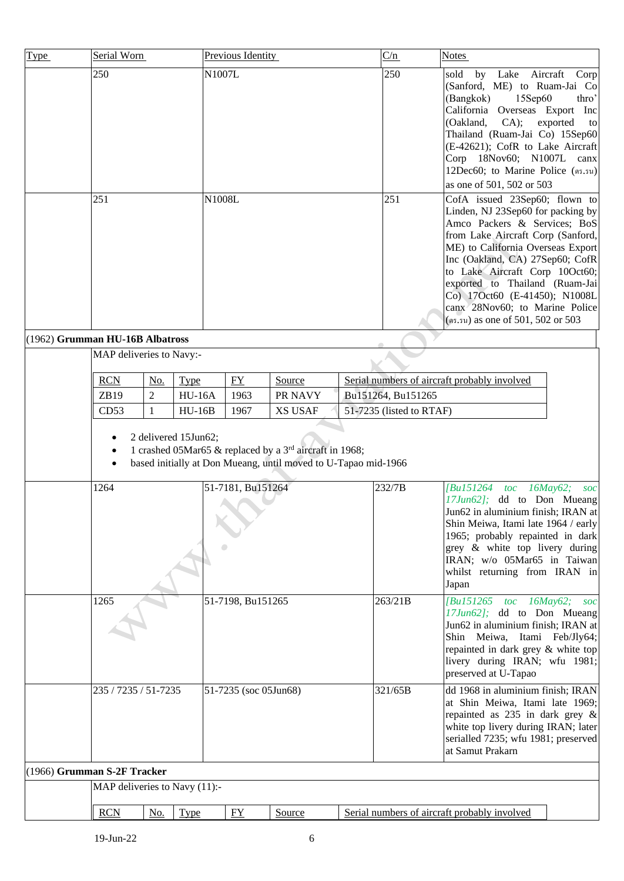<span id="page-5-1"></span><span id="page-5-0"></span>

| <b>Type</b>                     | Serial Worn                   |                |                              |                       | Previous Identity |                                                                                                                                       |  |  | C/n                      | <b>Notes</b>                                                                                                                                                                                                                                                                                                                                                                                                                                                                                                                                                                                                                                                                                                                                   |
|---------------------------------|-------------------------------|----------------|------------------------------|-----------------------|-------------------|---------------------------------------------------------------------------------------------------------------------------------------|--|--|--------------------------|------------------------------------------------------------------------------------------------------------------------------------------------------------------------------------------------------------------------------------------------------------------------------------------------------------------------------------------------------------------------------------------------------------------------------------------------------------------------------------------------------------------------------------------------------------------------------------------------------------------------------------------------------------------------------------------------------------------------------------------------|
|                                 | 250<br>251                    |                |                              |                       | N1007L<br>N1008L  |                                                                                                                                       |  |  | 250<br>251               | by Lake Aircraft<br>sold<br>Corp<br>(Sanford, ME) to Ruam-Jai Co<br>15Sep60<br>thro'<br>(Bangkok)<br>California Overseas Export Inc<br>(Oakland,<br>CA);<br>exported<br>to<br>Thailand (Ruam-Jai Co) 15Sep60<br>(E-42621); CofR to Lake Aircraft<br>Corp 18Nov60; N1007L canx<br>12Dec60; to Marine Police (ดร.รน)<br>as one of 501, 502 or 503<br>CofA issued 23Sep60; flown to<br>Linden, NJ 23Sep60 for packing by<br>Amco Packers & Services; BoS<br>from Lake Aircraft Corp (Sanford,<br>ME) to California Overseas Export<br>Inc (Oakland, CA) 27Sep60; CofR<br>to Lake Aircraft Corp 10Oct60;<br>exported to Thailand (Ruam-Jai<br>Co) 17Oct60 (E-41450); N1008L<br>canx 28Nov60; to Marine Police<br>(ตร.รน) as one of 501, 502 or 503 |
| (1962) Grumman HU-16B Albatross |                               |                |                              |                       |                   |                                                                                                                                       |  |  |                          |                                                                                                                                                                                                                                                                                                                                                                                                                                                                                                                                                                                                                                                                                                                                                |
|                                 | MAP deliveries to Navy:-      |                |                              |                       |                   |                                                                                                                                       |  |  |                          |                                                                                                                                                                                                                                                                                                                                                                                                                                                                                                                                                                                                                                                                                                                                                |
|                                 | <b>RCN</b>                    | No.            |                              |                       | FY                |                                                                                                                                       |  |  |                          | Serial numbers of aircraft probably involved                                                                                                                                                                                                                                                                                                                                                                                                                                                                                                                                                                                                                                                                                                   |
|                                 | ZB19                          | $\overline{2}$ | <b>Type</b><br><b>HU-16A</b> |                       | 1963              | Source<br>PR NAVY                                                                                                                     |  |  | Bu151264, Bu151265       |                                                                                                                                                                                                                                                                                                                                                                                                                                                                                                                                                                                                                                                                                                                                                |
|                                 | CD53                          | 1              | $HU-16B$                     |                       | 1967              | <b>XS USAF</b>                                                                                                                        |  |  | 51-7235 (listed to RTAF) |                                                                                                                                                                                                                                                                                                                                                                                                                                                                                                                                                                                                                                                                                                                                                |
|                                 | ٠<br>٠                        |                |                              |                       |                   | 1 crashed 05Mar65 & replaced by a 3 <sup>rd</sup> aircraft in 1968;<br>based initially at Don Mueang, until moved to U-Tapao mid-1966 |  |  |                          |                                                                                                                                                                                                                                                                                                                                                                                                                                                                                                                                                                                                                                                                                                                                                |
|                                 | 1264                          |                |                              |                       | 51-7181, Bu151264 |                                                                                                                                       |  |  | 232/7B                   | <i>Bu151264</i><br>$toc$ $16$ <i>May</i> $62$ ;<br>soc<br>17Jun62]; dd to Don Mueang<br>Jun62 in aluminium finish; IRAN at<br>Shin Meiwa, Itami late 1964 / early<br>1965; probably repainted in dark<br>grey & white top livery during<br>IRAN; w/o 05Mar65 in Taiwan<br>whilst returning from IRAN in<br>Japan                                                                                                                                                                                                                                                                                                                                                                                                                               |
|                                 | 51-7198, Bu151265<br>1265     |                |                              |                       |                   |                                                                                                                                       |  |  | 263/21B                  | [Bu151265 toc 16May62;<br>soc<br>17Jun62]; dd to Don Mueang<br>Jun62 in aluminium finish; IRAN at<br>Shin Meiwa, Itami Feb/Jly64;<br>repainted in dark grey & white top<br>livery during IRAN; wfu 1981;<br>preserved at U-Tapao                                                                                                                                                                                                                                                                                                                                                                                                                                                                                                               |
|                                 | 235 / 7235 / 51-7235          |                |                              | 51-7235 (soc 05Jun68) |                   |                                                                                                                                       |  |  | 321/65B                  | dd 1968 in aluminium finish; IRAN<br>at Shin Meiwa, Itami late 1969;<br>repainted as 235 in dark grey &<br>white top livery during IRAN; later<br>serialled 7235; wfu 1981; preserved<br>at Samut Prakarn                                                                                                                                                                                                                                                                                                                                                                                                                                                                                                                                      |
| (1966) Grumman S-2F Tracker     |                               |                |                              |                       |                   |                                                                                                                                       |  |  |                          |                                                                                                                                                                                                                                                                                                                                                                                                                                                                                                                                                                                                                                                                                                                                                |
|                                 | MAP deliveries to Navy (11):- |                |                              |                       |                   |                                                                                                                                       |  |  |                          |                                                                                                                                                                                                                                                                                                                                                                                                                                                                                                                                                                                                                                                                                                                                                |
|                                 | <b>RCN</b>                    | No.            | <b>Type</b>                  |                       | FY                | Source                                                                                                                                |  |  |                          | Serial numbers of aircraft probably involved                                                                                                                                                                                                                                                                                                                                                                                                                                                                                                                                                                                                                                                                                                   |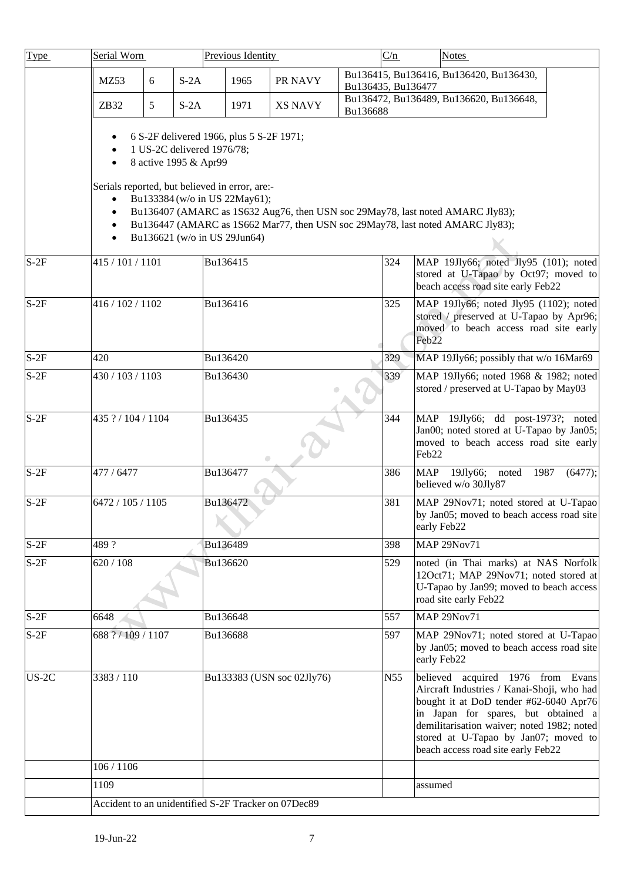| Type    | Serial Worn                                                                                                                                                                                                                                                                         |   |                                                     | Previous Identity                        |                                                     |                    | C/n |                                 | <b>Notes</b>                                                                                                                                                                                                                                                                                 |         |  |
|---------|-------------------------------------------------------------------------------------------------------------------------------------------------------------------------------------------------------------------------------------------------------------------------------------|---|-----------------------------------------------------|------------------------------------------|-----------------------------------------------------|--------------------|-----|---------------------------------|----------------------------------------------------------------------------------------------------------------------------------------------------------------------------------------------------------------------------------------------------------------------------------------------|---------|--|
|         | MZ53                                                                                                                                                                                                                                                                                | 6 | $S-2A$                                              | 1965                                     | PR NAVY                                             |                    |     |                                 | Bu136415, Bu136416, Bu136420, Bu136430,                                                                                                                                                                                                                                                      |         |  |
|         | ZB32                                                                                                                                                                                                                                                                                | 5 | $S-2A$                                              | 1971                                     | <b>XS NAVY</b>                                      | Bu136435, Bu136477 |     |                                 | Bu136472, Bu136489, Bu136620, Bu136648,                                                                                                                                                                                                                                                      |         |  |
|         |                                                                                                                                                                                                                                                                                     |   |                                                     |                                          |                                                     | Bu136688           |     |                                 |                                                                                                                                                                                                                                                                                              |         |  |
|         |                                                                                                                                                                                                                                                                                     |   | 1 US-2C delivered 1976/78;<br>8 active 1995 & Apr99 | 6 S-2F delivered 1966, plus 5 S-2F 1971; |                                                     |                    |     |                                 |                                                                                                                                                                                                                                                                                              |         |  |
|         | Serials reported, but believed in error, are:-<br>Bu133384 (w/o in US 22May61);<br>Bu136407 (AMARC as 1S632 Aug76, then USN soc 29May78, last noted AMARC Jly83);<br>Bu136447 (AMARC as 1S662 Mar77, then USN soc 29May78, last noted AMARC Jly83);<br>Bu136621 (w/o in US 29Jun64) |   |                                                     |                                          |                                                     |                    |     |                                 |                                                                                                                                                                                                                                                                                              |         |  |
| $S-2F$  | 415 / 101 / 1101                                                                                                                                                                                                                                                                    |   |                                                     | Bu136415                                 |                                                     |                    | 324 |                                 | MAP 19Jly66; noted Jly95 (101); noted<br>stored at U-Tapao by Oct97; moved to<br>beach access road site early Feb22                                                                                                                                                                          |         |  |
| $S-2F$  | 416 / 102 / 1102                                                                                                                                                                                                                                                                    |   |                                                     | Bu136416                                 |                                                     |                    | 325 | Feb <sub>22</sub>               | MAP 19Jly66; noted Jly95 (1102); noted<br>stored / preserved at U-Tapao by Apr96;<br>moved to beach access road site early                                                                                                                                                                   |         |  |
| $S-2F$  | 420                                                                                                                                                                                                                                                                                 |   |                                                     | Bu136420                                 |                                                     |                    | 329 |                                 | MAP 19Jly66; possibly that w/o 16Mar69                                                                                                                                                                                                                                                       |         |  |
| $S-2F$  | 430 / 103 / 1103                                                                                                                                                                                                                                                                    |   |                                                     | Bu136430                                 |                                                     |                    | 339 |                                 | MAP 19Jly66; noted 1968 & 1982; noted<br>stored / preserved at U-Tapao by May03                                                                                                                                                                                                              |         |  |
| $S-2F$  | 435 ? / 104 / 1104                                                                                                                                                                                                                                                                  |   |                                                     | Bu136435                                 |                                                     |                    | 344 | <b>MAP</b><br>Feb <sub>22</sub> | 19Jly66; dd post-1973?; noted<br>Jan00; noted stored at U-Tapao by Jan05;<br>moved to beach access road site early                                                                                                                                                                           |         |  |
| $S-2F$  | 477 / 6477                                                                                                                                                                                                                                                                          |   |                                                     | Bu136477                                 |                                                     |                    | 386 | <b>MAP</b>                      | 19Jly66; noted<br>1987<br>believed w/o 30Jly87                                                                                                                                                                                                                                               | (6477); |  |
| $S-2F$  | 6472 / 105 / 1105                                                                                                                                                                                                                                                                   |   |                                                     | Bu136472                                 |                                                     |                    | 381 | early Feb22                     | MAP 29Nov71; noted stored at U-Tapao<br>by Jan05; moved to beach access road site                                                                                                                                                                                                            |         |  |
| $S-2F$  | 489?                                                                                                                                                                                                                                                                                |   |                                                     | Bu136489                                 |                                                     |                    | 398 |                                 | <b>MAP 29Nov71</b>                                                                                                                                                                                                                                                                           |         |  |
| $S-2F$  | 620 / 108                                                                                                                                                                                                                                                                           |   |                                                     | Bu136620                                 |                                                     |                    | 529 |                                 | noted (in Thai marks) at NAS Norfolk<br>12Oct71; MAP 29Nov71; noted stored at<br>U-Tapao by Jan99; moved to beach access<br>road site early Feb22                                                                                                                                            |         |  |
| $S-2F$  | 6648                                                                                                                                                                                                                                                                                |   |                                                     | Bu136648                                 |                                                     |                    | 557 |                                 | <b>MAP 29Nov71</b>                                                                                                                                                                                                                                                                           |         |  |
| $S-2F$  | 688 ? / 109 / 1107                                                                                                                                                                                                                                                                  |   |                                                     | Bu136688                                 |                                                     |                    | 597 | early Feb22                     | MAP 29Nov71; noted stored at U-Tapao<br>by Jan05; moved to beach access road site                                                                                                                                                                                                            |         |  |
| $US-2C$ | 3383 / 110                                                                                                                                                                                                                                                                          |   |                                                     |                                          | Bu133383 (USN soc 02Jly76)                          |                    | N55 |                                 | believed acquired 1976 from Evans<br>Aircraft Industries / Kanai-Shoji, who had<br>bought it at DoD tender #62-6040 Apr76<br>in Japan for spares, but obtained a<br>demilitarisation waiver; noted 1982; noted<br>stored at U-Tapao by Jan07; moved to<br>beach access road site early Feb22 |         |  |
|         | 106 / 1106                                                                                                                                                                                                                                                                          |   |                                                     |                                          |                                                     |                    |     |                                 |                                                                                                                                                                                                                                                                                              |         |  |
|         | 1109                                                                                                                                                                                                                                                                                |   |                                                     |                                          |                                                     |                    |     | assumed                         |                                                                                                                                                                                                                                                                                              |         |  |
|         |                                                                                                                                                                                                                                                                                     |   |                                                     |                                          | Accident to an unidentified S-2F Tracker on 07Dec89 |                    |     |                                 |                                                                                                                                                                                                                                                                                              |         |  |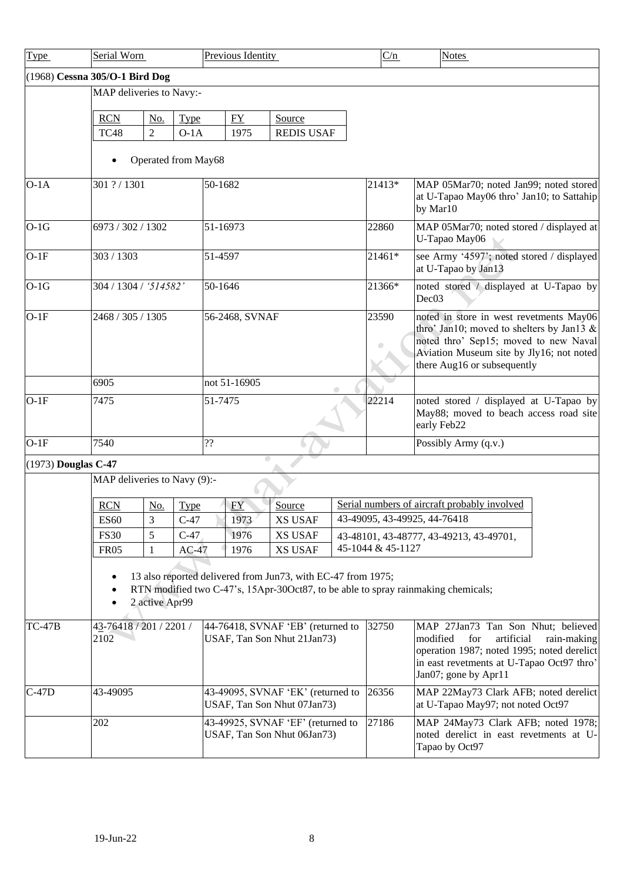<span id="page-7-1"></span><span id="page-7-0"></span>

| <b>Type</b>         | Serial Worn                    |                                                                                             |             | Previous Identity                                                |                                                              |  | C/n               | <b>Notes</b>                                                                                                                                                                                          |  |
|---------------------|--------------------------------|---------------------------------------------------------------------------------------------|-------------|------------------------------------------------------------------|--------------------------------------------------------------|--|-------------------|-------------------------------------------------------------------------------------------------------------------------------------------------------------------------------------------------------|--|
|                     | (1968) Cessna 305/O-1 Bird Dog |                                                                                             |             |                                                                  |                                                              |  |                   |                                                                                                                                                                                                       |  |
|                     | MAP deliveries to Navy:-       |                                                                                             |             |                                                                  |                                                              |  |                   |                                                                                                                                                                                                       |  |
|                     | <b>RCN</b>                     | No.                                                                                         | Type        | FY                                                               | Source                                                       |  |                   |                                                                                                                                                                                                       |  |
|                     | TC48                           | $\overline{2}$                                                                              | $O-1A$      | 1975                                                             | <b>REDIS USAF</b>                                            |  |                   |                                                                                                                                                                                                       |  |
|                     |                                | Operated from May68                                                                         |             |                                                                  |                                                              |  |                   |                                                                                                                                                                                                       |  |
|                     |                                |                                                                                             |             |                                                                  |                                                              |  |                   |                                                                                                                                                                                                       |  |
| $O-1A$              | 301 ? / 1301                   |                                                                                             |             | 50-1682                                                          |                                                              |  | 21413*            | MAP 05Mar70; noted Jan99; noted stored<br>at U-Tapao May06 thro' Jan10; to Sattahip<br>by Mar10                                                                                                       |  |
| $O-1G$              | 6973 / 302 / 1302              |                                                                                             |             | 51-16973                                                         |                                                              |  | 22860             | MAP 05Mar70; noted stored / displayed at<br>U-Tapao May06                                                                                                                                             |  |
| $O-1F$              | 303 / 1303                     |                                                                                             |             | 51-4597                                                          |                                                              |  | 21461*            | see Army '4597'; noted stored / displayed<br>at U-Tapao by Jan13                                                                                                                                      |  |
| $O-1G$              | 304 / 1304 / '514582'          |                                                                                             |             | 50-1646                                                          |                                                              |  | 21366*            | noted stored / displayed at U-Tapao by<br>Dec <sub>03</sub>                                                                                                                                           |  |
| $O-1F$              | 2468 / 305 / 1305              |                                                                                             |             | 56-2468, SVNAF                                                   |                                                              |  | 23590             | noted in store in west revetments May06<br>thro' Jan10; moved to shelters by Jan13 &<br>noted thro' Sep15; moved to new Naval<br>Aviation Museum site by Jly16; not noted                             |  |
|                     | 6905                           |                                                                                             |             | not 51-16905                                                     |                                                              |  |                   | there Aug16 or subsequently                                                                                                                                                                           |  |
|                     |                                |                                                                                             |             |                                                                  |                                                              |  | 22214             |                                                                                                                                                                                                       |  |
| $O-1F$              | 7475                           |                                                                                             |             | 51-7475                                                          |                                                              |  |                   | noted stored / displayed at U-Tapao by<br>May88; moved to beach access road site<br>early Feb22                                                                                                       |  |
| $O-1F$              | 7540                           |                                                                                             |             | ??                                                               |                                                              |  |                   | Possibly Army (q.v.)                                                                                                                                                                                  |  |
| (1973) Douglas C-47 |                                |                                                                                             |             |                                                                  |                                                              |  |                   |                                                                                                                                                                                                       |  |
|                     | MAP deliveries to Navy (9):-   |                                                                                             |             |                                                                  |                                                              |  |                   |                                                                                                                                                                                                       |  |
|                     | <b>RCN</b>                     | <u>No.</u>                                                                                  | <b>Type</b> | EY                                                               | Source                                                       |  |                   | Serial numbers of aircraft probably involved                                                                                                                                                          |  |
|                     | <b>ES60</b>                    | 3                                                                                           | $C-47$      | 1973                                                             | <b>XS USAF</b>                                               |  |                   | 43-49095, 43-49925, 44-76418                                                                                                                                                                          |  |
|                     | <b>FS30</b>                    | 5                                                                                           | $C-47$      | 1976                                                             | <b>XS USAF</b>                                               |  |                   | 43-48101, 43-48777, 43-49213, 43-49701,                                                                                                                                                               |  |
|                     | <b>FR05</b>                    | 1                                                                                           | $AC-47$     | 1976                                                             | <b>XS USAF</b>                                               |  | 45-1044 & 45-1127 |                                                                                                                                                                                                       |  |
|                     |                                | 2 active Apr99                                                                              |             |                                                                  | 13 also reported delivered from Jun73, with EC-47 from 1975; |  |                   | RTN modified two C-47's, 15Apr-30Oct87, to be able to spray rainmaking chemicals;                                                                                                                     |  |
| $TC-47B$            | 2102                           | 44-76418, SVNAF 'EB' (returned to<br>43-76418 / 201 / 2201 /<br>USAF, Tan Son Nhut 21Jan73) |             |                                                                  |                                                              |  |                   | MAP 27Jan73 Tan Son Nhut; believed<br>modified<br>for<br>artificial<br>rain-making<br>operation 1987; noted 1995; noted derelict<br>in east revetments at U-Tapao Oct97 thro'<br>Jan07; gone by Apr11 |  |
| $C-47D$             | 43-49095                       | 43-49095, SVNAF 'EK' (returned to<br>USAF, Tan Son Nhut 07Jan73)                            |             |                                                                  |                                                              |  |                   | MAP 22May73 Clark AFB; noted derelict<br>at U-Tapao May97; not noted Oct97                                                                                                                            |  |
|                     | 202                            |                                                                                             |             | 43-49925, SVNAF 'EF' (returned to<br>USAF, Tan Son Nhut 06Jan73) |                                                              |  | 27186             | MAP 24May73 Clark AFB; noted 1978;<br>noted derelict in east revetments at U-<br>Tapao by Oct97                                                                                                       |  |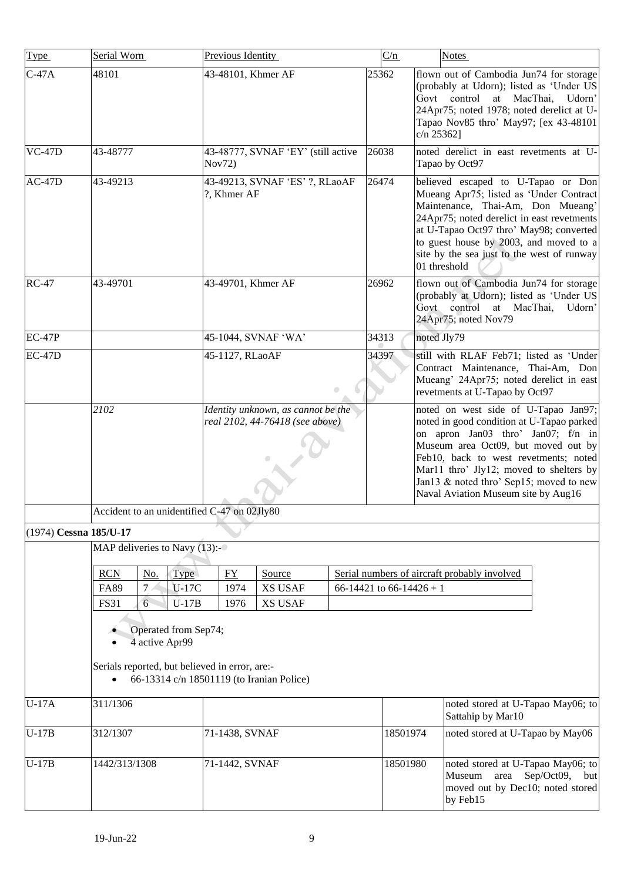<span id="page-8-0"></span>

| <b>Type</b>            | Serial Worn                                                                                                                                                                                                   |                 |             | Previous Identity                             |                                                                       |  | C/n                      | <b>Notes</b> |                                                                                                                                                                                                                                                                                                                                      |  |  |
|------------------------|---------------------------------------------------------------------------------------------------------------------------------------------------------------------------------------------------------------|-----------------|-------------|-----------------------------------------------|-----------------------------------------------------------------------|--|--------------------------|--------------|--------------------------------------------------------------------------------------------------------------------------------------------------------------------------------------------------------------------------------------------------------------------------------------------------------------------------------------|--|--|
| $C-47A$                | 48101                                                                                                                                                                                                         |                 |             | 43-48101, Khmer AF                            |                                                                       |  | 25362                    | $c/n$ 25362] | flown out of Cambodia Jun74 for storage<br>(probably at Udorn); listed as 'Under US<br>Govt control<br>at MacThai,<br>Udorn'<br>24Apr75; noted 1978; noted derelict at U-<br>Tapao Nov85 thro' May97; [ex 43-48101                                                                                                                   |  |  |
| $VC-47D$               | 43-48777                                                                                                                                                                                                      |                 |             | 43-48777, SVNAF 'EY' (still active<br>Nov72)  |                                                                       |  | 26038                    |              | noted derelict in east revetments at U-<br>Tapao by Oct97                                                                                                                                                                                                                                                                            |  |  |
| $AC-47D$               | 43-49213                                                                                                                                                                                                      |                 |             | 43-49213, SVNAF 'ES' ?, RLaoAF<br>?, Khmer AF |                                                                       |  | 26474                    | 01 threshold | believed escaped to U-Tapao or Don<br>Mueang Apr75; listed as 'Under Contract<br>Maintenance, Thai-Am, Don Mueang'<br>24Apr75; noted derelict in east revetments<br>at U-Tapao Oct97 thro' May98; converted<br>to guest house by 2003, and moved to a<br>site by the sea just to the west of runway                                  |  |  |
| <b>RC-47</b>           | 43-49701                                                                                                                                                                                                      |                 |             | 43-49701, Khmer AF                            |                                                                       |  | 26962                    |              | flown out of Cambodia Jun74 for storage<br>(probably at Udorn); listed as 'Under US<br>Govt control at MacThai,<br>Udorn'<br>24Apr75; noted Nov79                                                                                                                                                                                    |  |  |
| <b>EC-47P</b>          |                                                                                                                                                                                                               |                 |             | 45-1044, SVNAF 'WA'<br>34313                  |                                                                       |  |                          | noted Jly79  |                                                                                                                                                                                                                                                                                                                                      |  |  |
| <b>EC-47D</b>          |                                                                                                                                                                                                               |                 |             | 45-1127, RLaoAF<br>$\bullet$                  |                                                                       |  | 34397                    |              | still with RLAF Feb71; listed as 'Under<br>Contract Maintenance, Thai-Am, Don<br>Mueang' 24Apr75; noted derelict in east<br>revetments at U-Tapao by Oct97                                                                                                                                                                           |  |  |
|                        | 2102                                                                                                                                                                                                          |                 |             |                                               | Identity unknown, as cannot be the<br>real 2102, 44-76418 (see above) |  |                          |              | noted on west side of U-Tapao Jan97;<br>noted in good condition at U-Tapao parked<br>on apron Jan03 thro' Jan07; f/n in<br>Museum area Oct09, but moved out by<br>Feb10, back to west revetments; noted<br>Mar11 thro' Jly12; moved to shelters by<br>Jan13 & noted thro' Sep15; moved to new<br>Naval Aviation Museum site by Aug16 |  |  |
|                        |                                                                                                                                                                                                               |                 |             | Accident to an unidentified C-47 on 02Jly80   |                                                                       |  |                          |              |                                                                                                                                                                                                                                                                                                                                      |  |  |
| (1974) Cessna 185/U-17 |                                                                                                                                                                                                               |                 |             |                                               |                                                                       |  |                          |              |                                                                                                                                                                                                                                                                                                                                      |  |  |
|                        | MAP deliveries to Navy $(13)$ :-                                                                                                                                                                              |                 |             |                                               |                                                                       |  |                          |              |                                                                                                                                                                                                                                                                                                                                      |  |  |
|                        | <b>RCN</b>                                                                                                                                                                                                    | <u>No.</u>      | <b>Type</b> | $FY$                                          | Source                                                                |  |                          |              | Serial numbers of aircraft probably involved                                                                                                                                                                                                                                                                                         |  |  |
|                        | <b>FA89</b>                                                                                                                                                                                                   | $7\,\mathrm{s}$ | $U-17C$     | 1974                                          | <b>XS USAF</b>                                                        |  | 66-14421 to 66-14426 + 1 |              |                                                                                                                                                                                                                                                                                                                                      |  |  |
|                        | $6 \overline{6}$<br><b>FS31</b><br><b>XS USAF</b><br>$U-17B$<br>1976<br>Operated from Sep74;<br>4 active Apr99<br>Serials reported, but believed in error, are:-<br>66-13314 c/n 18501119 (to Iranian Police) |                 |             |                                               |                                                                       |  |                          |              |                                                                                                                                                                                                                                                                                                                                      |  |  |
| $U-17A$                | 311/1306                                                                                                                                                                                                      |                 |             |                                               |                                                                       |  |                          |              | noted stored at U-Tapao May06; to<br>Sattahip by Mar10                                                                                                                                                                                                                                                                               |  |  |
| $U-17B$                | 312/1307                                                                                                                                                                                                      |                 |             | 71-1438, SVNAF                                |                                                                       |  | 18501974                 |              | noted stored at U-Tapao by May06                                                                                                                                                                                                                                                                                                     |  |  |
| $U-17B$                | 1442/313/1308                                                                                                                                                                                                 |                 |             | 71-1442, SVNAF                                |                                                                       |  | 18501980                 |              | noted stored at U-Tapao May06; to<br>Sep/Oct09, but<br>Museum area<br>moved out by Dec10; noted stored<br>by Feb15                                                                                                                                                                                                                   |  |  |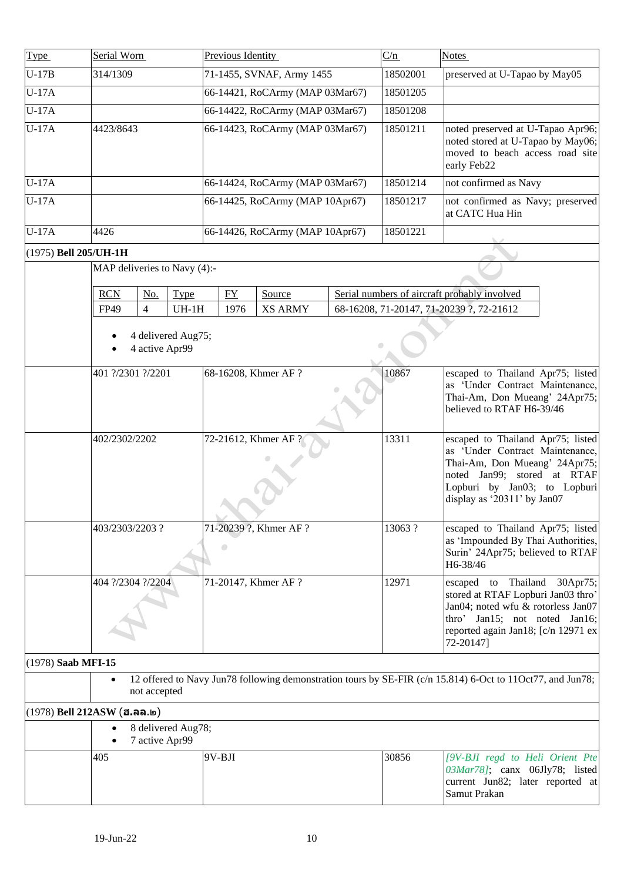<span id="page-9-2"></span><span id="page-9-1"></span><span id="page-9-0"></span>

| Type                  | Serial Worn                   |                                      | Previous Identity               |                                 |  | C/n      | <b>Notes</b>                                                                                                                                                                                        |
|-----------------------|-------------------------------|--------------------------------------|---------------------------------|---------------------------------|--|----------|-----------------------------------------------------------------------------------------------------------------------------------------------------------------------------------------------------|
| $U-17B$               | 314/1309                      |                                      | 71-1455, SVNAF, Army 1455       |                                 |  | 18502001 | preserved at U-Tapao by May05                                                                                                                                                                       |
| $U-17A$               |                               |                                      | 66-14421, RoCArmy (MAP 03Mar67) |                                 |  | 18501205 |                                                                                                                                                                                                     |
| $U-17A$               |                               |                                      | 66-14422, RoCArmy (MAP 03Mar67) |                                 |  | 18501208 |                                                                                                                                                                                                     |
| $U-17A$               | 4423/8643                     |                                      |                                 | 66-14423, RoCArmy (MAP 03Mar67) |  | 18501211 | noted preserved at U-Tapao Apr96;<br>noted stored at U-Tapao by May06;<br>moved to beach access road site<br>early Feb22                                                                            |
| $U-17A$               |                               |                                      |                                 | 66-14424, RoCArmy (MAP 03Mar67) |  | 18501214 | not confirmed as Navy                                                                                                                                                                               |
| $U-17A$               |                               |                                      |                                 | 66-14425, RoCArmy (MAP 10Apr67) |  | 18501217 | not confirmed as Navy; preserved<br>at CATC Hua Hin                                                                                                                                                 |
| $U-17A$               | 4426                          |                                      |                                 | 66-14426, RoCArmy (MAP 10Apr67) |  | 18501221 |                                                                                                                                                                                                     |
| (1975) Bell 205/UH-1H |                               |                                      |                                 |                                 |  |          |                                                                                                                                                                                                     |
|                       | MAP deliveries to Navy (4):-  |                                      |                                 |                                 |  |          |                                                                                                                                                                                                     |
|                       | <b>RCN</b><br>No.             | <b>Type</b>                          | ${\rm FY}$                      | Source                          |  |          | Serial numbers of aircraft probably involved                                                                                                                                                        |
|                       | $\overline{4}$<br>FP49        | $UH-1H$                              | 1976                            | <b>XS ARMY</b>                  |  |          | 68-16208, 71-20147, 71-20239 ?, 72-21612                                                                                                                                                            |
|                       |                               | 4 delivered Aug75;<br>4 active Apr99 |                                 |                                 |  |          |                                                                                                                                                                                                     |
|                       | 401 ?/2301 ?/2201             |                                      | 68-16208, Khmer AF ?            |                                 |  | 10867    | escaped to Thailand Apr75; listed<br>as 'Under Contract Maintenance,<br>Thai-Am, Don Mueang' 24Apr75;<br>believed to RTAF H6-39/46                                                                  |
|                       | 402/2302/2202                 |                                      | 72-21612, Khmer AF ?            |                                 |  | 13311    | escaped to Thailand Apr75; listed<br>as 'Under Contract Maintenance,<br>Thai-Am, Don Mueang' 24Apr75;<br>noted Jan99; stored at RTAF<br>Lopburi by Jan03; to Lopburi<br>display as '20311' by Jan07 |
|                       | 403/2303/2203?                |                                      | 71-20239 ?, Khmer AF ?<br>۰     |                                 |  | 13063?   | escaped to Thailand Apr75; listed<br>as 'Impounded By Thai Authorities,<br>Surin' 24Apr75; believed to RTAF<br>H6-38/46                                                                             |
|                       | 404 ?/2304 ?/2204             |                                      | 71-20147, Khmer AF ?            |                                 |  | 12971    | escaped to Thailand 30Apr75;<br>stored at RTAF Lopburi Jan03 thro'<br>Jan04; noted wfu & rotorless Jan07<br>thro' Jan15; not noted Jan16;<br>reported again Jan18; [c/n 12971 ex<br>72-20147]       |
| $(1978)$ Saab MFI-15  |                               |                                      |                                 |                                 |  |          |                                                                                                                                                                                                     |
|                       |                               | not accepted                         |                                 |                                 |  |          | 12 offered to Navy Jun78 following demonstration tours by SE-FIR (c/n 15.814) 6-Oct to 11Oct77, and Jun78;                                                                                          |
|                       | $(1978)$ Bell 212ASW (ฮ.ลล.๒) |                                      |                                 |                                 |  |          |                                                                                                                                                                                                     |
|                       | $\bullet$                     | 8 delivered Aug78;<br>7 active Apr99 |                                 |                                 |  |          |                                                                                                                                                                                                     |
|                       | 405                           |                                      | 9V-BJI                          |                                 |  | 30856    | [9V-BJI regd to Heli Orient Pte<br>03Mar78]; canx 06Jly78; listed<br>current Jun82; later reported at<br>Samut Prakan                                                                               |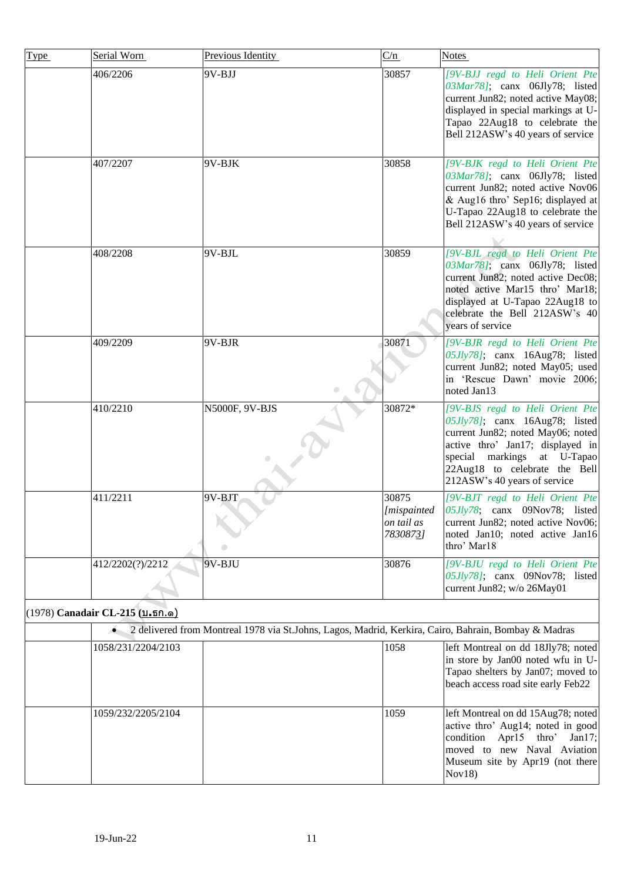<span id="page-10-0"></span>

| <b>Type</b> | Serial Worn                     | Previous Identity                                                                                    | C/n                                                    | Notes                                                                                                                                                                                                                                      |
|-------------|---------------------------------|------------------------------------------------------------------------------------------------------|--------------------------------------------------------|--------------------------------------------------------------------------------------------------------------------------------------------------------------------------------------------------------------------------------------------|
|             | 406/2206                        | 9V-BJJ                                                                                               | 30857                                                  | [9V-BJJ regd to Heli Orient Pte<br>03Mar78]; canx 06Jly78; listed<br>current Jun82; noted active May08;<br>displayed in special markings at U-<br>Tapao 22Aug18 to celebrate the<br>Bell 212ASW's 40 years of service                      |
|             | 407/2207                        | 9V-BJK                                                                                               | 30858                                                  | [9V-BJK regd to Heli Orient Pte<br>03Mar78]; canx 06Jly78; listed<br>current Jun82; noted active Nov06<br>& Aug16 thro' Sep16; displayed at<br>U-Tapao 22Aug18 to celebrate the<br>Bell 212ASW's 40 years of service                       |
|             | 408/2208                        | 9V-BJL                                                                                               | 30859                                                  | [9V-BJL regd to Heli Orient Pte<br>03Mar78]; canx 06Jly78; listed<br>current Jun82; noted active Dec08;<br>noted active Mar15 thro' Mar18;<br>displayed at U-Tapao 22Aug18 to<br>celebrate the Bell 212ASW's 40<br>years of service        |
|             | 409/2209                        | 9V-BJR                                                                                               | 30871                                                  | [9V-BJR regd to Heli Orient Pte<br>05Jly78]; canx 16Aug78; listed<br>current Jun82; noted May05; used<br>in 'Rescue Dawn' movie 2006;<br>noted Jan13                                                                                       |
|             | 410/2210                        | N5000F, 9V-BJS                                                                                       | 30872*                                                 | [9V-BJS regd to Heli Orient Pte<br>05Jly78]; canx 16Aug78; listed<br>current Jun82; noted May06; noted<br>active thro' Jan17; displayed in<br>special markings at U-Tapao<br>22Aug18 to celebrate the Bell<br>212ASW's 40 years of service |
|             | 411/2211                        | 9V-BJT                                                                                               | 30875<br><i>[mispainted]</i><br>on tail as<br>78308731 | [9V-BJT regd to Heli Orient Pte<br>$05Jly78$ ; canx 09Nov78; listed<br>current Jun82; noted active Nov06;<br>noted Jan10; noted active Jan16<br>thro' Mar18                                                                                |
|             | 412/2202(?)/2212                | 9V-BJU                                                                                               | 30876                                                  | [9V-BJU regd to Heli Orient Pte<br>05Jly78]; canx 09Nov78; listed<br>current Jun82; w/o 26May01                                                                                                                                            |
|             | (1978) Canadair CL-215 (บ.ธก.ด) |                                                                                                      |                                                        |                                                                                                                                                                                                                                            |
|             | $\bullet$                       | 2 delivered from Montreal 1978 via St.Johns, Lagos, Madrid, Kerkira, Cairo, Bahrain, Bombay & Madras |                                                        |                                                                                                                                                                                                                                            |
|             | 1058/231/2204/2103              |                                                                                                      | 1058                                                   | left Montreal on dd 18Jly78; noted<br>in store by Jan00 noted wfu in U-<br>Tapao shelters by Jan07; moved to<br>beach access road site early Feb22                                                                                         |
|             | 1059/232/2205/2104              |                                                                                                      | 1059                                                   | left Montreal on dd 15Aug78; noted<br>active thro' Aug14; noted in good<br>condition Apr15 thro'<br>Jan $17$ ;<br>moved to new Naval Aviation<br>Museum site by Apr19 (not there<br>Nov18)                                                 |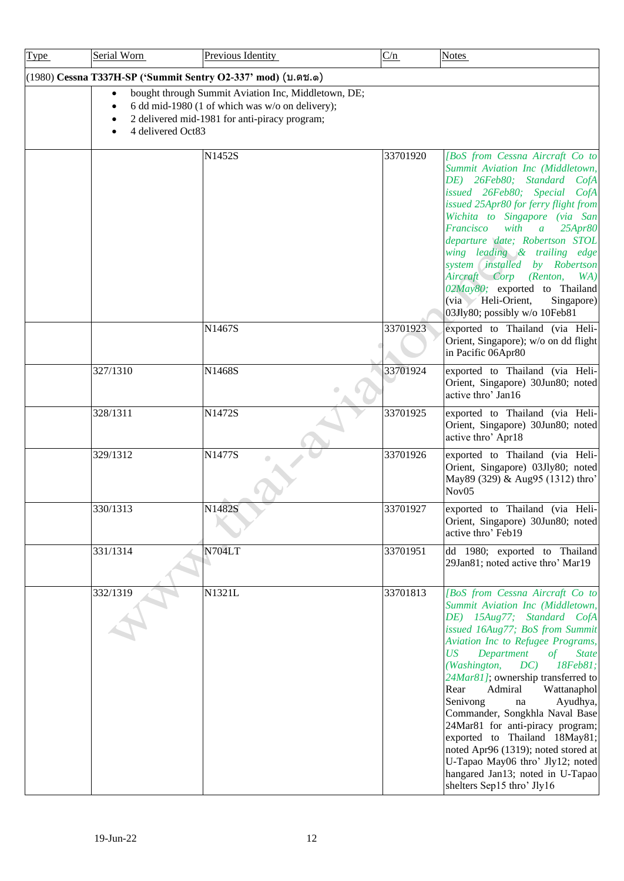<span id="page-11-0"></span>

| <b>Type</b> | Serial Worn       | Previous Identity                                                                                                                                       | C/n      | <b>Notes</b>                                                                                                                                                                                                                                                                                                                                                                                                                                                                                                                                                                                                                      |
|-------------|-------------------|---------------------------------------------------------------------------------------------------------------------------------------------------------|----------|-----------------------------------------------------------------------------------------------------------------------------------------------------------------------------------------------------------------------------------------------------------------------------------------------------------------------------------------------------------------------------------------------------------------------------------------------------------------------------------------------------------------------------------------------------------------------------------------------------------------------------------|
|             |                   | (1980) Cessna T337H-SP ('Summit Sentry O2-337' mod) (บ.ตช.ด)                                                                                            |          |                                                                                                                                                                                                                                                                                                                                                                                                                                                                                                                                                                                                                                   |
|             | 4 delivered Oct83 | bought through Summit Aviation Inc, Middletown, DE;<br>6 dd mid-1980 (1 of which was w/o on delivery);<br>2 delivered mid-1981 for anti-piracy program; |          |                                                                                                                                                                                                                                                                                                                                                                                                                                                                                                                                                                                                                                   |
|             |                   | N1452S                                                                                                                                                  | 33701920 | [BoS from Cessna Aircraft Co to<br>Summit Aviation Inc (Middletown,<br>DE) 26Feb80; Standard CofA<br>issued 26Feb80; Special CofA<br>issued 25Apr80 for ferry flight from<br>Wichita to Singapore (via San<br>Francisco<br>with<br>25Apr80<br>$\overline{a}$<br>departure date; Robertson STOL<br>wing leading & trailing edge<br>system <i>installed</i><br>by Robertson<br>Aircraft Corp (Renton,<br>WA)<br>02May80; exported to Thailand<br>(via Heli-Orient,<br>Singapore)<br>03Jly80; possibly w/o 10Feb81                                                                                                                   |
|             |                   | N1467S                                                                                                                                                  | 33701923 | exported to Thailand (via Heli-<br>Orient, Singapore); w/o on dd flight<br>in Pacific 06Apr80                                                                                                                                                                                                                                                                                                                                                                                                                                                                                                                                     |
|             | 327/1310          | N1468S<br>$\bigcirc$                                                                                                                                    | 33701924 | exported to Thailand (via Heli-<br>Orient, Singapore) 30Jun80; noted<br>active thro' Jan16                                                                                                                                                                                                                                                                                                                                                                                                                                                                                                                                        |
|             | 328/1311          | N1472S                                                                                                                                                  | 33701925 | exported to Thailand (via Heli-<br>Orient, Singapore) 30Jun80; noted<br>active thro' Apr18                                                                                                                                                                                                                                                                                                                                                                                                                                                                                                                                        |
|             | 329/1312          | N1477S                                                                                                                                                  | 33701926 | exported to Thailand (via Heli-<br>Orient, Singapore) 03Jly80; noted<br>May89 (329) & Aug95 (1312) thro'<br>Nov <sub>05</sub>                                                                                                                                                                                                                                                                                                                                                                                                                                                                                                     |
|             | 330/1313          | N1482S                                                                                                                                                  | 33701927 | exported to Thailand (via Heli-<br>Orient, Singapore) 30Jun80; noted<br>active thro' Feb19                                                                                                                                                                                                                                                                                                                                                                                                                                                                                                                                        |
|             | 331/1314          | <b>N704LT</b>                                                                                                                                           | 33701951 | dd 1980; exported to Thailand<br>29Jan81; noted active thro' Mar19                                                                                                                                                                                                                                                                                                                                                                                                                                                                                                                                                                |
|             | 332/1319          | N1321L                                                                                                                                                  | 33701813 | [BoS from Cessna Aircraft Co to<br>Summit Aviation Inc (Middletown,<br>DE) 15Aug77; Standard CofA<br>issued 16Aug77; BoS from Summit<br>Aviation Inc to Refugee Programs,<br>Department<br><b>State</b><br>US<br>of<br>(Washington,<br>DC)<br>18Feb81;<br>24Mar81]; ownership transferred to<br>Rear<br>Admiral<br>Wattanaphol<br>Senivong<br>Ayudhya,<br>$\operatorname{na}$<br>Commander, Songkhla Naval Base<br>24Mar81 for anti-piracy program;<br>exported to Thailand 18May81;<br>noted Apr96 (1319); noted stored at<br>U-Tapao May06 thro' Jly12; noted<br>hangared Jan13; noted in U-Tapao<br>shelters Sep15 thro' Jly16 |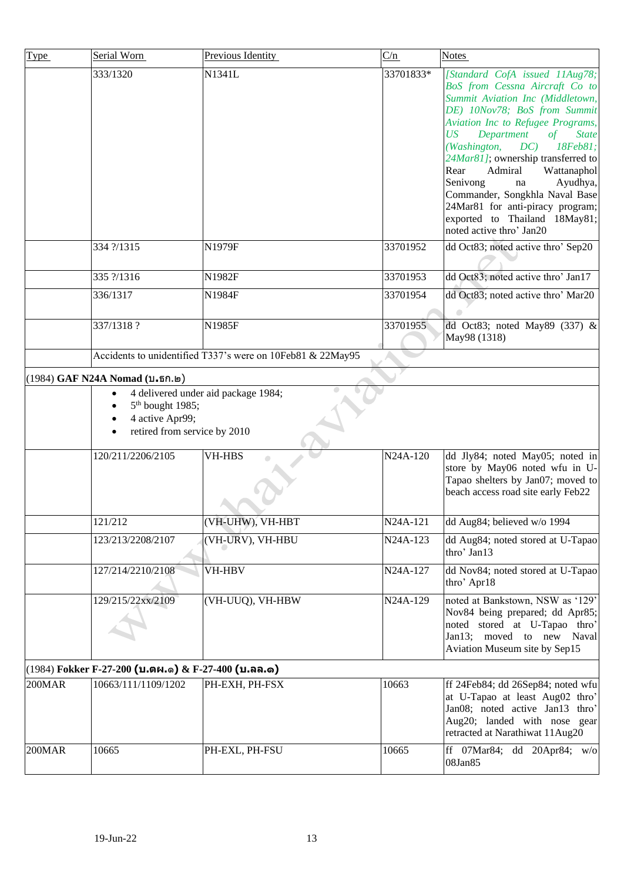<span id="page-12-1"></span><span id="page-12-0"></span>

| Type      | Serial Worn                                                                     | Previous Identity                                          | C/n       | <b>Notes</b>                                                                                                                                                                                                                                                                                                                                                                                                                                                                                    |
|-----------|---------------------------------------------------------------------------------|------------------------------------------------------------|-----------|-------------------------------------------------------------------------------------------------------------------------------------------------------------------------------------------------------------------------------------------------------------------------------------------------------------------------------------------------------------------------------------------------------------------------------------------------------------------------------------------------|
|           | 333/1320                                                                        | N1341L                                                     | 33701833* | [Standard CofA issued 11Aug78;<br>BoS from Cessna Aircraft Co to<br>Summit Aviation Inc (Middletown,<br>DE) 10Nov78; BoS from Summit<br>Aviation Inc to Refugee Programs,<br>US<br>Department<br><b>State</b><br>of<br>(Washington,<br>DC)<br>18Feb81;<br>24Mar81]; ownership transferred to<br>Admiral<br>Wattanaphol<br>Rear<br>Senivong<br>Ayudhya,<br>na<br>Commander, Songkhla Naval Base<br>24Mar81 for anti-piracy program;<br>exported to Thailand 18May81;<br>noted active thro' Jan20 |
|           | 334 ?/1315                                                                      | N1979F                                                     | 33701952  | dd Oct83; noted active thro' Sep20                                                                                                                                                                                                                                                                                                                                                                                                                                                              |
|           | 335 ?/1316                                                                      | N1982F                                                     | 33701953  | dd Oct83; noted active thro' Jan17                                                                                                                                                                                                                                                                                                                                                                                                                                                              |
|           | 336/1317                                                                        | N1984F                                                     | 33701954  | dd Oct83; noted active thro' Mar20                                                                                                                                                                                                                                                                                                                                                                                                                                                              |
|           | 337/1318?                                                                       | N1985F                                                     | 33701955  | dd Oct83; noted May89 (337) &<br>May98 (1318)                                                                                                                                                                                                                                                                                                                                                                                                                                                   |
|           |                                                                                 | Accidents to unidentified T337's were on 10Feb81 & 22May95 |           |                                                                                                                                                                                                                                                                                                                                                                                                                                                                                                 |
|           | (1984) GAF N24A Nomad (บ.ธก.๒)                                                  |                                                            |           |                                                                                                                                                                                                                                                                                                                                                                                                                                                                                                 |
|           | 5 <sup>th</sup> bought 1985;<br>4 active Apr99;<br>retired from service by 2010 | 4 delivered under aid package 1984;                        |           |                                                                                                                                                                                                                                                                                                                                                                                                                                                                                                 |
|           | 120/211/2206/2105                                                               | <b>VH-HBS</b>                                              | N24A-120  | dd Jly84; noted May05; noted in<br>store by May06 noted wfu in U-<br>Tapao shelters by Jan07; moved to<br>beach access road site early Feb22                                                                                                                                                                                                                                                                                                                                                    |
|           | 121/212                                                                         | (VH-UHW), VH-HBT                                           | N24A-121  | dd Aug84; believed w/o 1994                                                                                                                                                                                                                                                                                                                                                                                                                                                                     |
|           | 123/213/2208/2107                                                               | (VH-URV), VH-HBU                                           | N24A-123  | dd Aug84; noted stored at U-Tapao<br>thro' Jan13                                                                                                                                                                                                                                                                                                                                                                                                                                                |
|           | 127/214/2210/2108                                                               | VH-HBV                                                     | N24A-127  | dd Nov84; noted stored at U-Tapao<br>thro' Apr18                                                                                                                                                                                                                                                                                                                                                                                                                                                |
|           | 129/215/22xx/2109                                                               | (VH-UUQ), VH-HBW                                           | N24A-129  | noted at Bankstown, NSW as '129'<br>Nov84 being prepared; dd Apr85;<br>noted stored at U-Tapao thro'<br>Jan13; moved to new Naval<br>Aviation Museum site by Sep15                                                                                                                                                                                                                                                                                                                              |
|           | $(1984)$ Fokker F-27-200 (บ.ตผ.๑) & F-27-400 (บ.ลล.๑)                           |                                                            |           |                                                                                                                                                                                                                                                                                                                                                                                                                                                                                                 |
| $200$ MAR | 10663/111/1109/1202                                                             | PH-EXH, PH-FSX                                             | 10663     | ff 24Feb84; dd 26Sep84; noted wfu<br>at U-Tapao at least Aug02 thro'<br>Jan08; noted active Jan13 thro'<br>Aug20; landed with nose gear<br>retracted at Narathiwat 11Aug20                                                                                                                                                                                                                                                                                                                      |
| 200MAR    | 10665                                                                           | PH-EXL, PH-FSU                                             | 10665     | ff $07\text{Mar84}$ ; dd $20\text{Apr84}$ ; w/o<br>08Jan85                                                                                                                                                                                                                                                                                                                                                                                                                                      |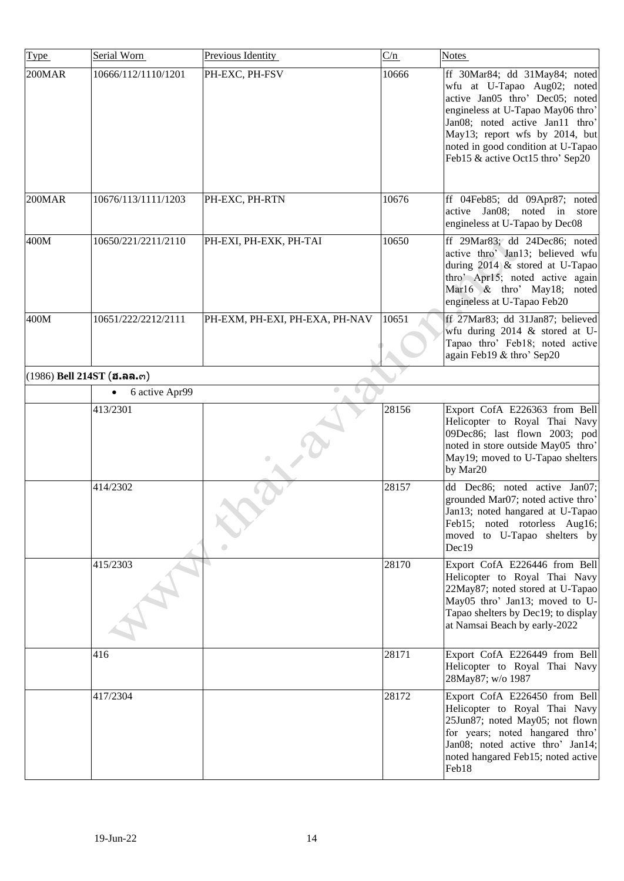<span id="page-13-0"></span>

| Type   | Serial Worn                  | Previous Identity              | C/n   | <b>Notes</b>                                                                                                                                                                                                                                                                        |
|--------|------------------------------|--------------------------------|-------|-------------------------------------------------------------------------------------------------------------------------------------------------------------------------------------------------------------------------------------------------------------------------------------|
| 200MAR | 10666/112/1110/1201          | PH-EXC, PH-FSV                 | 10666 | ff 30Mar84; dd 31May84; noted<br>wfu at U-Tapao Aug02; noted<br>active Jan05 thro' Dec05; noted<br>engineless at U-Tapao May06 thro'<br>Jan08; noted active Jan11 thro'<br>May13; report wfs by 2014, but<br>noted in good condition at U-Tapao<br>Feb15 & active Oct15 thro' Sep20 |
| 200MAR | 10676/113/1111/1203          | PH-EXC, PH-RTN                 | 10676 | ff 04Feb85; dd 09Apr87; noted<br>active Jan08; noted in<br>store<br>engineless at U-Tapao by Dec08                                                                                                                                                                                  |
| 400M   | 10650/221/2211/2110          | PH-EXI, PH-EXK, PH-TAI         | 10650 | ff 29Mar83; dd 24Dec86; noted<br>active thro' Jan13; believed wfu<br>during 2014 & stored at U-Tapao<br>thro' Apr15; noted active again<br>Mar16 & thro' May18; noted<br>engineless at U-Tapao Feb20                                                                                |
| 400M   | 10651/222/2212/2111          | PH-EXM, PH-EXI, PH-EXA, PH-NAV | 10651 | ff 27Mar83; dd 31Jan87; believed<br>wfu during 2014 & stored at U-<br>Tapao thro' Feb18; noted active<br>again Feb19 & thro' Sep20                                                                                                                                                  |
|        | $(1986)$ Bell 214ST (ฮ.ลล.๓) |                                |       |                                                                                                                                                                                                                                                                                     |
|        | 6 active Apr99<br>$\bullet$  | O                              |       |                                                                                                                                                                                                                                                                                     |
|        | 413/2301                     |                                | 28156 | Export CofA E226363 from Bell<br>Helicopter to Royal Thai Navy<br>09Dec86; last flown 2003; pod<br>noted in store outside May05 thro'<br>May19; moved to U-Tapao shelters<br>by Mar20                                                                                               |
|        | 414/2302                     |                                | 28157 | dd Dec86; noted active Jan07;<br>grounded Mar07; noted active thro'<br>Jan13; noted hangared at U-Tapao<br>Feb15; noted rotorless Aug16;<br>moved to U-Tapao shelters by<br>Dec19                                                                                                   |
|        | 415/2303                     |                                | 28170 | Export CofA E226446 from Bell<br>Helicopter to Royal Thai Navy<br>22May87; noted stored at U-Tapao<br>May05 thro' Jan13; moved to U-<br>Tapao shelters by Dec19; to display<br>at Namsai Beach by early-2022                                                                        |
|        | 416                          |                                | 28171 | Export CofA E226449 from Bell<br>Helicopter to Royal Thai Navy<br>28May87; w/o 1987                                                                                                                                                                                                 |
|        | 417/2304                     |                                | 28172 | Export CofA E226450 from Bell<br>Helicopter to Royal Thai Navy<br>25Jun87; noted May05; not flown<br>for years; noted hangared thro'<br>Jan08; noted active thro' Jan14;<br>noted hangared Feb15; noted active<br>Feb18                                                             |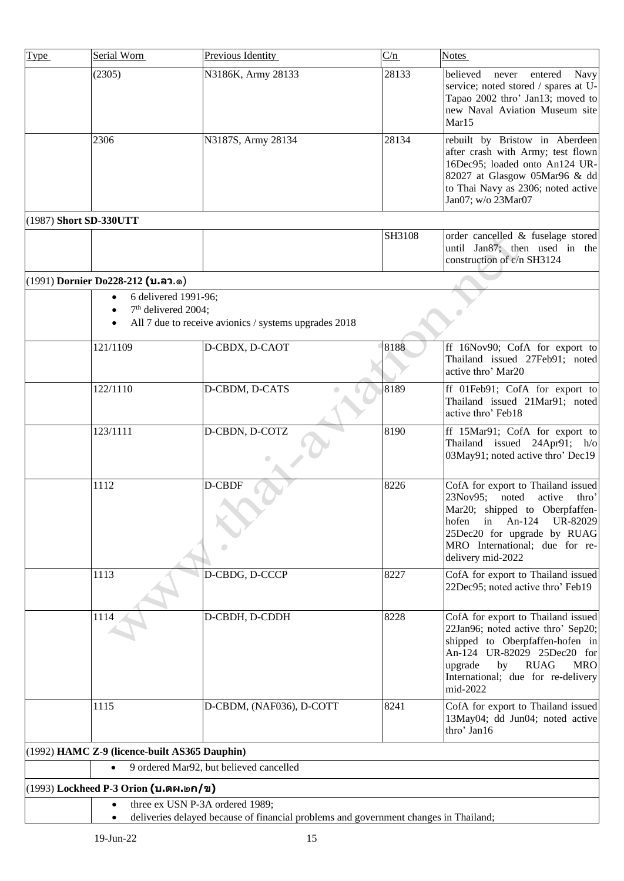<span id="page-14-3"></span><span id="page-14-2"></span><span id="page-14-1"></span><span id="page-14-0"></span>

| Type                   | Serial Worn                                   | Previous Identity                                                                    | C/n    | <b>Notes</b>                                                                                                                                                                                                                               |
|------------------------|-----------------------------------------------|--------------------------------------------------------------------------------------|--------|--------------------------------------------------------------------------------------------------------------------------------------------------------------------------------------------------------------------------------------------|
|                        | (2305)                                        | N3186K, Army 28133                                                                   | 28133  | believed<br>entered<br>Navy<br>never<br>service; noted stored / spares at U-<br>Tapao 2002 thro' Jan13; moved to<br>new Naval Aviation Museum site<br>Mar15                                                                                |
|                        | 2306                                          | N3187S, Army 28134                                                                   | 28134  | rebuilt by Bristow in Aberdeen<br>after crash with Army; test flown<br>16Dec95; loaded onto An124 UR-<br>82027 at Glasgow 05Mar96 & dd<br>to Thai Navy as 2306; noted active<br>Jan07; w/o 23Mar07                                         |
| (1987) Short SD-330UTT |                                               |                                                                                      |        |                                                                                                                                                                                                                                            |
|                        |                                               |                                                                                      | SH3108 | order cancelled & fuselage stored<br>until Jan87; then used in the<br>construction of c/n SH3124                                                                                                                                           |
|                        | (1991) Dornier Do228-212 (บ.ลว.ด)             |                                                                                      |        |                                                                                                                                                                                                                                            |
|                        | 6 delivered 1991-96;<br>$\bullet$             |                                                                                      |        |                                                                                                                                                                                                                                            |
|                        | 7 <sup>th</sup> delivered 2004;               | All 7 due to receive avionics / systems upgrades 2018                                |        |                                                                                                                                                                                                                                            |
|                        |                                               |                                                                                      |        |                                                                                                                                                                                                                                            |
|                        | 121/1109                                      | D-CBDX, D-CAOT                                                                       | 8188   | ff 16Nov90; CofA for export to<br>Thailand issued 27Feb91; noted<br>active thro' Mar20                                                                                                                                                     |
|                        | 122/1110                                      | D-CBDM, D-CATS                                                                       | 8189   | ff 01Feb91; CofA for export to<br>Thailand issued 21Mar91; noted<br>active thro' Feb18                                                                                                                                                     |
|                        | 123/1111                                      | D-CBDN, D-COTZ                                                                       | 8190   | ff 15Mar91; CofA for export to<br>Thailand issued 24Apr91; h/o<br>03May91; noted active thro' Dec19                                                                                                                                        |
|                        | 1112                                          | D-CBDF                                                                               | 8226   | CofA for export to Thailand issued<br>23Nov95;<br>noted<br>active<br>thro'<br>Mar20; shipped to Oberpfaffen-<br>hofen<br>An- $124$<br>UR-82029<br>1n<br>25Dec20 for upgrade by RUAG<br>MRO International; due for re-<br>delivery mid-2022 |
|                        | 1113                                          | D-CBDG, D-CCCP                                                                       | 8227   | CofA for export to Thailand issued<br>22Dec95; noted active thro' Feb19                                                                                                                                                                    |
|                        | 1114                                          | D-CBDH, D-CDDH                                                                       | 8228   | CofA for export to Thailand issued<br>22Jan96; noted active thro' Sep20;<br>shipped to Oberpfaffen-hofen in<br>An-124 UR-82029 25Dec20 for<br><b>RUAG</b><br><b>MRO</b><br>upgrade<br>by<br>International; due for re-delivery<br>mid-2022 |
|                        | 1115                                          | D-CBDM, (NAF036), D-COTT                                                             | 8241   | CofA for export to Thailand issued<br>13May04; dd Jun04; noted active<br>thro' Jan16                                                                                                                                                       |
|                        | (1992) HAMC Z-9 (licence-built AS365 Dauphin) |                                                                                      |        |                                                                                                                                                                                                                                            |
|                        |                                               | 9 ordered Mar92, but believed cancelled                                              |        |                                                                                                                                                                                                                                            |
|                        | (1993) Lockheed P-3 Orion (บ.ตผ.๒ก/ข)         |                                                                                      |        |                                                                                                                                                                                                                                            |
|                        | three ex USN P-3A ordered 1989;               | deliveries delayed because of financial problems and government changes in Thailand; |        |                                                                                                                                                                                                                                            |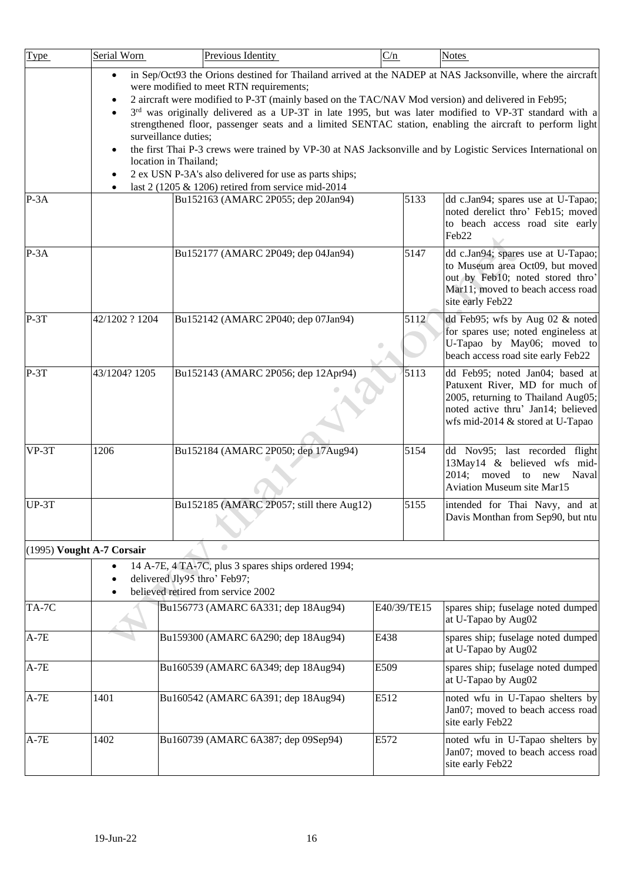<span id="page-15-0"></span>

| <b>Type</b> | Serial Worn                 | Previous Identity                                                                                                                                                                                                                                                                                                                                                                                                                                                                                                                                                                                                                                                                                                                                                 | C/n         | <b>Notes</b>                                                                                                                                                                      |
|-------------|-----------------------------|-------------------------------------------------------------------------------------------------------------------------------------------------------------------------------------------------------------------------------------------------------------------------------------------------------------------------------------------------------------------------------------------------------------------------------------------------------------------------------------------------------------------------------------------------------------------------------------------------------------------------------------------------------------------------------------------------------------------------------------------------------------------|-------------|-----------------------------------------------------------------------------------------------------------------------------------------------------------------------------------|
|             | $\bullet$<br>$\bullet$<br>٠ | in Sep/Oct93 the Orions destined for Thailand arrived at the NADEP at NAS Jacksonville, where the aircraft<br>were modified to meet RTN requirements;<br>2 aircraft were modified to P-3T (mainly based on the TAC/NAV Mod version) and delivered in Feb95;<br>3rd was originally delivered as a UP-3T in late 1995, but was later modified to VP-3T standard with a<br>strengthened floor, passenger seats and a limited SENTAC station, enabling the aircraft to perform light<br>surveillance duties;<br>the first Thai P-3 crews were trained by VP-30 at NAS Jacksonville and by Logistic Services International on<br>location in Thailand;<br>2 ex USN P-3A's also delivered for use as parts ships;<br>last 2 (1205 & 1206) retired from service mid-2014 |             |                                                                                                                                                                                   |
| $P-3A$      |                             | Bu152163 (AMARC 2P055; dep 20Jan94)                                                                                                                                                                                                                                                                                                                                                                                                                                                                                                                                                                                                                                                                                                                               | 5133        | dd c.Jan94; spares use at U-Tapao;<br>noted derelict thro' Feb15; moved<br>to beach access road site early<br>Feb22                                                               |
| $P-3A$      |                             | Bu152177 (AMARC 2P049; dep 04Jan94)                                                                                                                                                                                                                                                                                                                                                                                                                                                                                                                                                                                                                                                                                                                               | 5147        | dd c.Jan94; spares use at U-Tapao;<br>to Museum area Oct09, but moved<br>out by Feb10; noted stored thro'<br>Mar11; moved to beach access road<br>site early Feb22                |
| $P-3T$      | 42/1202 ? 1204              | Bu152142 (AMARC 2P040; dep 07Jan94)                                                                                                                                                                                                                                                                                                                                                                                                                                                                                                                                                                                                                                                                                                                               | 5112        | dd Feb95; wfs by Aug 02 & noted<br>for spares use; noted engineless at<br>U-Tapao by May06; moved to<br>beach access road site early Feb22                                        |
| $P-3T$      | 43/1204? 1205               | Bu152143 (AMARC 2P056; dep 12Apr94)                                                                                                                                                                                                                                                                                                                                                                                                                                                                                                                                                                                                                                                                                                                               | 5113        | dd Feb95; noted Jan04; based at<br>Patuxent River, MD for much of<br>2005, returning to Thailand Aug05;<br>noted active thru' Jan14; believed<br>wfs mid-2014 & stored at U-Tapao |
| VP-3T       | 1206                        | Bu152184 (AMARC 2P050; dep 17Aug94)                                                                                                                                                                                                                                                                                                                                                                                                                                                                                                                                                                                                                                                                                                                               | 5154        | dd Nov95; last recorded flight<br>13May14 & believed wfs mid-<br>2014; moved to new Naval<br><b>Aviation Museum site Mar15</b>                                                    |
| $UP-3T$     |                             | Bu152185 (AMARC 2P057; still there Aug12)                                                                                                                                                                                                                                                                                                                                                                                                                                                                                                                                                                                                                                                                                                                         | 5155        | intended for Thai Navy, and at<br>Davis Monthan from Sep90, but ntu                                                                                                               |
|             | (1995) Vought A-7 Corsair   |                                                                                                                                                                                                                                                                                                                                                                                                                                                                                                                                                                                                                                                                                                                                                                   |             |                                                                                                                                                                                   |
|             |                             | 14 A-7E, 4 TA-7C, plus 3 spares ships ordered 1994;<br>delivered Jly95 thro' Feb97;<br>believed retired from service 2002                                                                                                                                                                                                                                                                                                                                                                                                                                                                                                                                                                                                                                         |             |                                                                                                                                                                                   |
| TA-7C       |                             | Bu156773 (AMARC 6A331; dep 18Aug94)                                                                                                                                                                                                                                                                                                                                                                                                                                                                                                                                                                                                                                                                                                                               | E40/39/TE15 | spares ship; fuselage noted dumped<br>at U-Tapao by Aug02                                                                                                                         |
| $A-7E$      |                             | Bu159300 (AMARC 6A290; dep 18Aug94)                                                                                                                                                                                                                                                                                                                                                                                                                                                                                                                                                                                                                                                                                                                               | E438        | spares ship; fuselage noted dumped<br>at U-Tapao by Aug02                                                                                                                         |
| $A-7E$      |                             | Bu160539 (AMARC 6A349; dep 18Aug94)                                                                                                                                                                                                                                                                                                                                                                                                                                                                                                                                                                                                                                                                                                                               | E509        | spares ship; fuselage noted dumped<br>at U-Tapao by Aug02                                                                                                                         |
| $A-7E$      | 1401                        | Bu160542 (AMARC 6A391; dep 18Aug94)                                                                                                                                                                                                                                                                                                                                                                                                                                                                                                                                                                                                                                                                                                                               | E512        | noted wfu in U-Tapao shelters by<br>Jan07; moved to beach access road<br>site early Feb22                                                                                         |
| $A-7E$      | 1402                        | Bu160739 (AMARC 6A387; dep 09Sep94)                                                                                                                                                                                                                                                                                                                                                                                                                                                                                                                                                                                                                                                                                                                               | E572        | noted wfu in U-Tapao shelters by<br>Jan07; moved to beach access road<br>site early Feb22                                                                                         |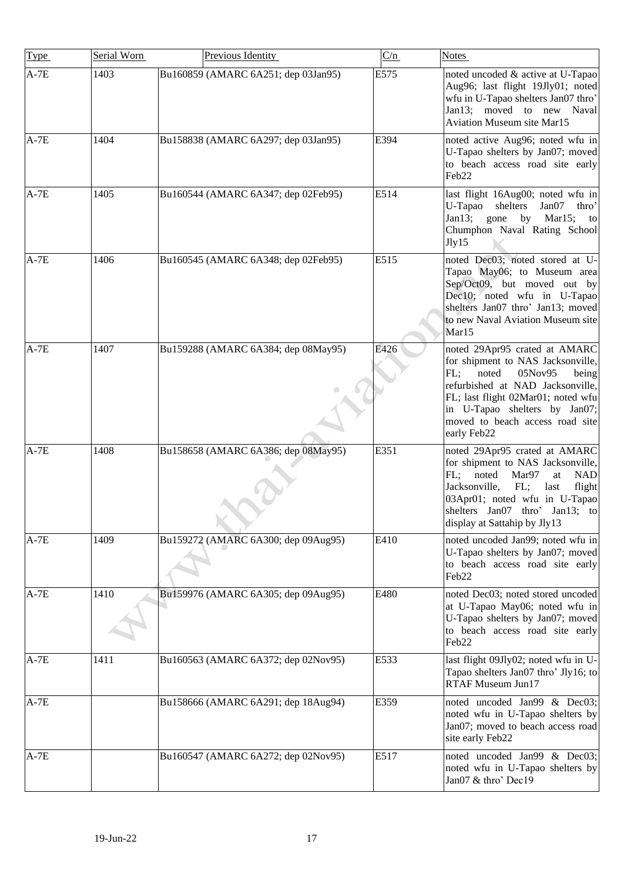| Type   | Serial Worn | Previous Identity                   | C/n  | <b>Notes</b>                                                                                                                                                                                                                                                        |
|--------|-------------|-------------------------------------|------|---------------------------------------------------------------------------------------------------------------------------------------------------------------------------------------------------------------------------------------------------------------------|
| $A-7E$ | 1403        | Bu160859 (AMARC 6A251; dep 03Jan95) | E575 | noted uncoded & active at U-Tapao<br>Aug96; last flight 19Jly01; noted<br>wfu in U-Tapao shelters Jan07 thro'<br>Jan13; moved to new Naval<br><b>Aviation Museum site Mar15</b>                                                                                     |
| $A-7E$ | 1404        | Bu158838 (AMARC 6A297; dep 03Jan95) | E394 | noted active Aug96; noted wfu in<br>U-Tapao shelters by Jan07; moved<br>to beach access road site early<br>Feb <sub>22</sub>                                                                                                                                        |
| $A-7E$ | 1405        | Bu160544 (AMARC 6A347; dep 02Feb95) | E514 | last flight 16Aug00; noted wfu in<br>U-Tapao<br>shelters<br>Jan07<br>thro'<br>Jan13; gone<br>by Mar15;<br>to<br>Chumphon Naval Rating School<br>Jly15                                                                                                               |
| $A-7E$ | 1406        | Bu160545 (AMARC 6A348; dep 02Feb95) | E515 | noted Dec03; noted stored at U-<br>Tapao May06; to Museum area<br>Sep/Oct09, but moved out by<br>Dec10; noted wfu in U-Tapao<br>shelters Jan07 thro' Jan13; moved<br>to new Naval Aviation Museum site<br>Mar15                                                     |
| $A-7E$ | 1407        | Bu159288 (AMARC 6A384; dep 08May95) | E426 | noted 29Apr95 crated at AMARC<br>for shipment to NAS Jacksonville,<br>FL:<br>noted<br>05Nov95<br>being<br>refurbished at NAD Jacksonville,<br>FL; last flight 02Mar01; noted wfu<br>in U-Tapao shelters by Jan07;<br>moved to beach access road site<br>early Feb22 |
| $A-7E$ | 1408        | Bu158658 (AMARC 6A386; dep 08May95) | E351 | noted 29Apr95 crated at AMARC<br>for shipment to NAS Jacksonville,<br>FL; noted<br>Mar97<br>at<br><b>NAD</b><br>Jacksonville,<br>FL;<br>last<br>flight<br>03Apr01; noted wfu in U-Tapao<br>shelters Jan07 thro' Jan13; to<br>display at Sattahip by Jly13           |
| $A-7E$ | 1409        | Bu159272 (AMARC 6A300; dep 09Aug95) | E410 | noted uncoded Jan99; noted wfu in<br>U-Tapao shelters by Jan07; moved<br>to beach access road site early<br>Feb <sub>22</sub>                                                                                                                                       |
| $A-7E$ | 1410        | Bu159976 (AMARC 6A305; dep 09Aug95) | E480 | noted Dec03; noted stored uncoded<br>at U-Tapao May06; noted wfu in<br>U-Tapao shelters by Jan07; moved<br>to beach access road site early<br>Feb22                                                                                                                 |
| $A-7E$ | 1411        | Bu160563 (AMARC 6A372; dep 02Nov95) | E533 | last flight 09Jly02; noted wfu in U-<br>Tapao shelters Jan07 thro' Jly16; to<br>RTAF Museum Jun17                                                                                                                                                                   |
| $A-7E$ |             | Bu158666 (AMARC 6A291; dep 18Aug94) | E359 | noted uncoded Jan99 & Dec03;<br>noted wfu in U-Tapao shelters by<br>Jan07; moved to beach access road<br>site early Feb22                                                                                                                                           |
| $A-7E$ |             | Bu160547 (AMARC 6A272; dep 02Nov95) | E517 | noted uncoded Jan99 & Dec03;<br>noted wfu in U-Tapao shelters by<br>Jan07 & thro' Dec19                                                                                                                                                                             |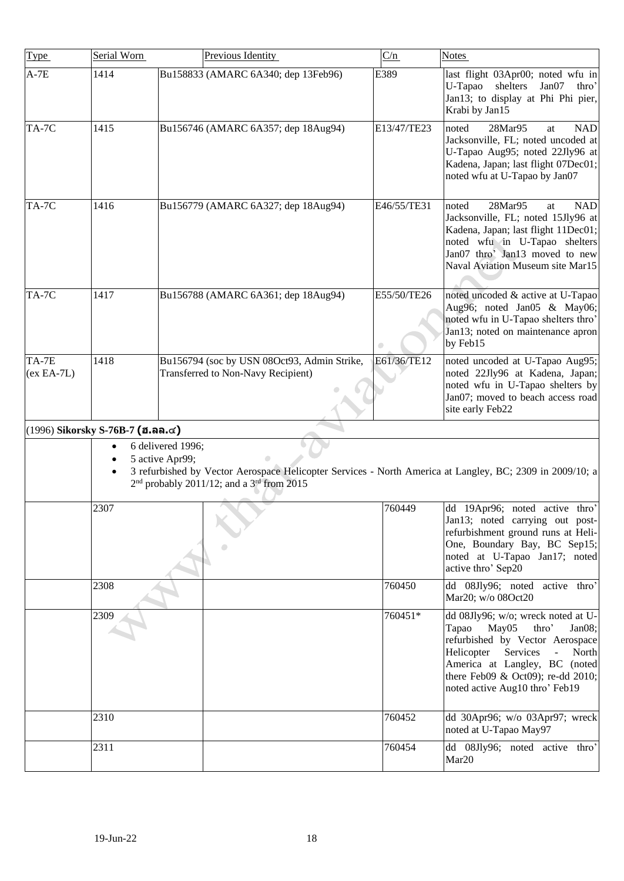<span id="page-17-0"></span>

| Type                  | Serial Worn                        |                                      | Previous Identity                                                                 | C/n         | <b>Notes</b>                                                                                                                                                                                                                                                    |
|-----------------------|------------------------------------|--------------------------------------|-----------------------------------------------------------------------------------|-------------|-----------------------------------------------------------------------------------------------------------------------------------------------------------------------------------------------------------------------------------------------------------------|
| $A-7E$                | 1414                               |                                      | Bu158833 (AMARC 6A340; dep 13Feb96)                                               | E389        | last flight 03Apr00; noted wfu in<br>shelters<br>U-Tapao<br>Jan07<br>thro'<br>Jan13; to display at Phi Phi pier,<br>Krabi by Jan15                                                                                                                              |
| TA-7C                 | 1415                               |                                      | Bu156746 (AMARC 6A357; dep 18Aug94)                                               | E13/47/TE23 | $28$ Mar95<br>noted<br><b>NAD</b><br>at<br>Jacksonville, FL; noted uncoded at<br>U-Tapao Aug95; noted 22Jly96 at<br>Kadena, Japan; last flight 07Dec01;<br>noted wfu at U-Tapao by Jan07                                                                        |
| TA-7C                 | 1416                               |                                      | Bu156779 (AMARC 6A327; dep 18Aug94)                                               | E46/55/TE31 | 28Mar95<br><b>NAD</b><br>noted<br>at<br>Jacksonville, FL; noted 15Jly96 at<br>Kadena, Japan; last flight 11Dec01;<br>noted wfu in U-Tapao shelters<br>Jan07 thro' Jan13 moved to new<br>Naval Aviation Museum site Mar15                                        |
| TA-7C                 | 1417                               |                                      | Bu156788 (AMARC 6A361; dep 18Aug94)                                               | E55/50/TE26 | noted uncoded & active at U-Tapao<br>Aug96; noted Jan05 & May06;<br>noted wfu in U-Tapao shelters thro'<br>Jan13; noted on maintenance apron<br>by Feb15                                                                                                        |
| TA-7E<br>$(ex EA-7L)$ | 1418                               |                                      | Bu156794 (soc by USN 08Oct93, Admin Strike,<br>Transferred to Non-Navy Recipient) | E61/36/TE12 | noted uncoded at U-Tapao Aug95;<br>noted 22Jly96 at Kadena, Japan;<br>noted wfu in U-Tapao shelters by<br>Jan07; moved to beach access road<br>site early Feb22                                                                                                 |
|                       | $(1996)$ Sikorsky S-76B-7 (ฮ.ลล.๔) |                                      |                                                                                   |             |                                                                                                                                                                                                                                                                 |
|                       |                                    | 6 delivered 1996;<br>5 active Apr99; | $2nd$ probably 2011/12; and a 3 <sup>rd</sup> from 2015                           |             | 3 refurbished by Vector Aerospace Helicopter Services - North America at Langley, BC; 2309 in 2009/10; a                                                                                                                                                        |
|                       | 2307                               |                                      |                                                                                   | 760449      | dd 19Apr96; noted active thro'<br>Jan13; noted carrying out post-<br>refurbishment ground runs at Heli-<br>One, Boundary Bay, BC Sep15;<br>noted at U-Tapao Jan17; noted<br>active thro' Sep20                                                                  |
|                       | 2308                               |                                      |                                                                                   | 760450      | dd 08Jly96; noted active thro'<br>Mar20; w/o 08Oct20                                                                                                                                                                                                            |
|                       | 2309                               |                                      |                                                                                   | 760451*     | dd 08Jly96; w/o; wreck noted at U-<br>Tapao<br>May05<br>thro'<br>Jan08;<br>refurbished by Vector Aerospace<br>Helicopter<br>Services<br>North<br>$\Box$<br>America at Langley, BC (noted<br>there Feb09 & Oct09); re-dd 2010;<br>noted active Aug10 thro' Feb19 |
|                       | 2310                               |                                      |                                                                                   | 760452      | dd 30Apr96; w/o 03Apr97; wreck<br>noted at U-Tapao May97                                                                                                                                                                                                        |
|                       | 2311                               |                                      |                                                                                   | 760454      | dd 08Jly96; noted active thro'<br>Mar20                                                                                                                                                                                                                         |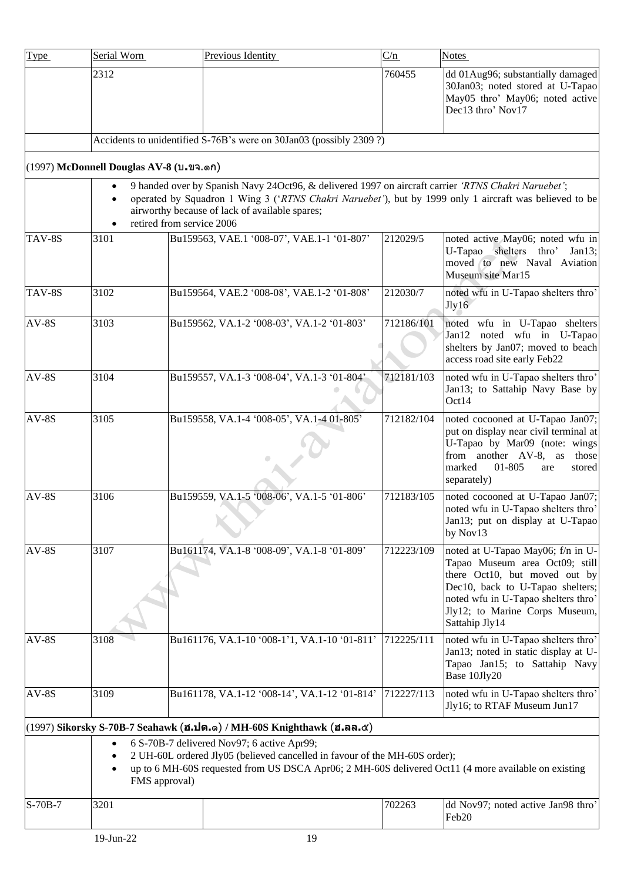<span id="page-18-1"></span><span id="page-18-0"></span>

| <b>Type</b> | Serial Worn                                                                                                                                                                                                                                                                                  |  | Previous Identity                                                                                                        |  | C/n        | <b>Notes</b>                                                                                                                                                                                                                        |  |
|-------------|----------------------------------------------------------------------------------------------------------------------------------------------------------------------------------------------------------------------------------------------------------------------------------------------|--|--------------------------------------------------------------------------------------------------------------------------|--|------------|-------------------------------------------------------------------------------------------------------------------------------------------------------------------------------------------------------------------------------------|--|
|             | 2312                                                                                                                                                                                                                                                                                         |  |                                                                                                                          |  | 760455     | dd 01Aug96; substantially damaged<br>30Jan03; noted stored at U-Tapao<br>May05 thro' May06; noted active<br>Dec13 thro' Nov17                                                                                                       |  |
|             |                                                                                                                                                                                                                                                                                              |  | Accidents to unidentified S-76B's were on 30Jan03 (possibly 2309 ?)                                                      |  |            |                                                                                                                                                                                                                                     |  |
|             | $(1997)$ McDonnell Douglas AV-8 (บ.ขจ.ดก)                                                                                                                                                                                                                                                    |  |                                                                                                                          |  |            |                                                                                                                                                                                                                                     |  |
|             | 9 handed over by Spanish Navy 24Oct96, & delivered 1997 on aircraft carrier 'RTNS Chakri Naruebet';<br>operated by Squadron 1 Wing 3 ('RTNS Chakri Naruebet'), but by 1999 only 1 aircraft was believed to be<br>airworthy because of lack of available spares;<br>retired from service 2006 |  |                                                                                                                          |  |            |                                                                                                                                                                                                                                     |  |
| TAV-8S      | 3101                                                                                                                                                                                                                                                                                         |  | Bu159563, VAE.1 '008-07', VAE.1-1 '01-807'                                                                               |  | 212029/5   | noted active May06; noted wfu in<br>U-Tapao shelters thro'<br>Jan $13$ ;<br>moved to new Naval Aviation<br>Museum site Mar15                                                                                                        |  |
| TAV-8S      | 3102                                                                                                                                                                                                                                                                                         |  | Bu159564, VAE.2 '008-08', VAE.1-2 '01-808'                                                                               |  | 212030/7   | noted wfu in U-Tapao shelters thro'<br>Jly16                                                                                                                                                                                        |  |
| $AV-8S$     | 3103                                                                                                                                                                                                                                                                                         |  | Bu159562, VA.1-2 '008-03', VA.1-2 '01-803'                                                                               |  | 712186/101 | noted wfu in U-Tapao shelters<br>Jan12 noted wfu in U-Tapao<br>shelters by Jan07; moved to beach<br>access road site early Feb22                                                                                                    |  |
| $AV-8S$     | 3104                                                                                                                                                                                                                                                                                         |  | Bu159557, VA.1-3 '008-04', VA.1-3 '01-804'                                                                               |  | 712181/103 | noted wfu in U-Tapao shelters thro'<br>Jan13; to Sattahip Navy Base by<br>Oct14                                                                                                                                                     |  |
| $AV-8S$     | 3105                                                                                                                                                                                                                                                                                         |  | Bu159558, VA.1-4 '008-05', VA.1-4 01-805'                                                                                |  | 712182/104 | noted cocooned at U-Tapao Jan07;<br>put on display near civil terminal at<br>U-Tapao by Mar09 (note: wings<br>from another AV-8, as those<br>01-805<br>marked<br>stored<br>are<br>separately)                                       |  |
| $AV-8S$     | 3106                                                                                                                                                                                                                                                                                         |  | Bu159559, VA.1-5 '008-06', VA.1-5 '01-806'<br>$\sim$                                                                     |  | 712183/105 | noted cocooned at U-Tapao Jan07;<br>noted wfu in U-Tapao shelters thro'<br>Jan13; put on display at U-Tapao<br>by Nov13                                                                                                             |  |
| $AV-8S$     | 3107                                                                                                                                                                                                                                                                                         |  | Bu161174, VA.1-8 '008-09', VA.1-8 '01-809'                                                                               |  | 712223/109 | noted at U-Tapao May06; f/n in U-<br>Tapao Museum area Oct09; still<br>there Oct10, but moved out by<br>Dec10, back to U-Tapao shelters;<br>noted wfu in U-Tapao shelters thro'<br>Jly12; to Marine Corps Museum,<br>Sattahip Jly14 |  |
| $AV-8S$     | 3108                                                                                                                                                                                                                                                                                         |  | Bu161176, VA.1-10 '008-1'1, VA.1-10 '01-811'                                                                             |  | 712225/111 | noted wfu in U-Tapao shelters thro'<br>Jan13; noted in static display at U-<br>Tapao Jan15; to Sattahip Navy<br>Base 10Jly20                                                                                                        |  |
| $AV-8S$     | 3109                                                                                                                                                                                                                                                                                         |  | Bu161178, VA.1-12 '008-14', VA.1-12 '01-814'                                                                             |  | 712227/113 | noted wfu in U-Tapao shelters thro'<br>Jly16; to RTAF Museum Jun17                                                                                                                                                                  |  |
|             |                                                                                                                                                                                                                                                                                              |  | (1997) Sikorsky S-70B-7 Seahawk (ฮ.ปด.๑) / MH-60S Knighthawk (ฮ.ลล.๕)                                                    |  |            |                                                                                                                                                                                                                                     |  |
|             | $\bullet$<br>FMS approval)                                                                                                                                                                                                                                                                   |  | 6 S-70B-7 delivered Nov97; 6 active Apr99;<br>2 UH-60L ordered Jly05 (believed cancelled in favour of the MH-60S order); |  |            | up to 6 MH-60S requested from US DSCA Apr06; 2 MH-60S delivered Oct11 (4 more available on existing                                                                                                                                 |  |
| S-70B-7     | 3201                                                                                                                                                                                                                                                                                         |  |                                                                                                                          |  | 702263     | dd Nov97; noted active Jan98 thro'<br>Feb20                                                                                                                                                                                         |  |
|             | 19-Jun-22                                                                                                                                                                                                                                                                                    |  | 19                                                                                                                       |  |            |                                                                                                                                                                                                                                     |  |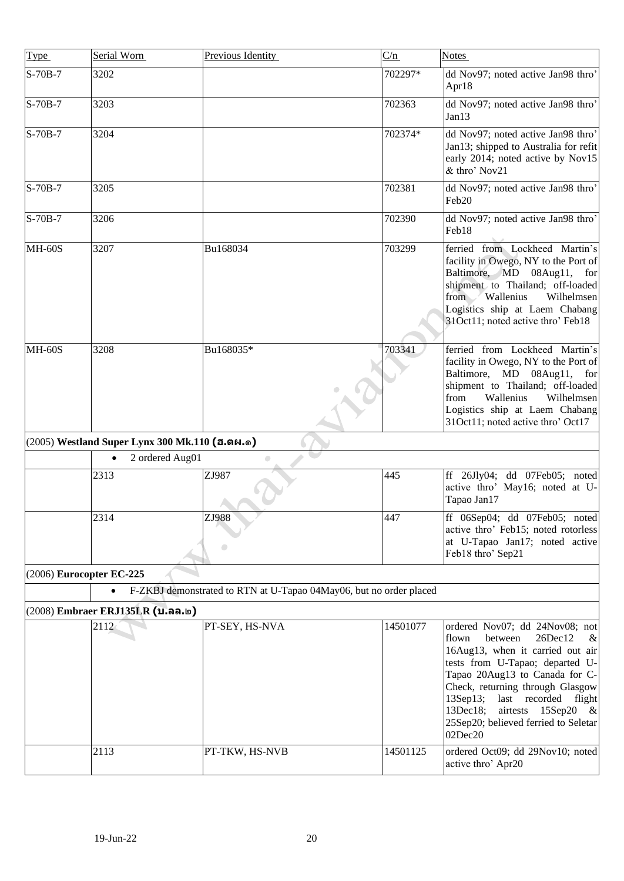<span id="page-19-2"></span><span id="page-19-1"></span><span id="page-19-0"></span>

| Type                     | Serial Worn                                    | Previous Identity                                                  | C/n      | <b>Notes</b>                                                                                                                                                                                                                                                                                                                                                  |
|--------------------------|------------------------------------------------|--------------------------------------------------------------------|----------|---------------------------------------------------------------------------------------------------------------------------------------------------------------------------------------------------------------------------------------------------------------------------------------------------------------------------------------------------------------|
| $S-70B-7$                | 3202                                           |                                                                    | 702297*  | dd Nov97; noted active Jan98 thro'<br>Apr18                                                                                                                                                                                                                                                                                                                   |
| $S-70B-7$                | 3203                                           |                                                                    | 702363   | dd Nov97; noted active Jan98 thro'<br>Jan13                                                                                                                                                                                                                                                                                                                   |
| $S-70B-7$                | 3204                                           |                                                                    | 702374*  | dd Nov97; noted active Jan98 thro'<br>Jan13; shipped to Australia for refit<br>early 2014; noted active by Nov15<br>& thro' Nov21                                                                                                                                                                                                                             |
| $S-70B-7$                | 3205                                           |                                                                    | 702381   | dd Nov97; noted active Jan98 thro'<br>Feb20                                                                                                                                                                                                                                                                                                                   |
| S-70B-7                  | 3206                                           |                                                                    | 702390   | dd Nov97; noted active Jan98 thro'<br>Feb18                                                                                                                                                                                                                                                                                                                   |
| <b>MH-60S</b>            | 3207                                           | Bu168034                                                           | 703299   | ferried from Lockheed Martin's<br>facility in Owego, NY to the Port of<br>Baltimore, MD 08Aug11, for<br>shipment to Thailand; off-loaded<br>from Wallenius<br>Wilhelmsen<br>Logistics ship at Laem Chabang<br>31Oct11; noted active thro' Feb18                                                                                                               |
| <b>MH-60S</b>            | 3208                                           | Bu168035*                                                          | 703341   | ferried from Lockheed Martin's<br>facility in Owego, NY to the Port of<br>Baltimore, MD 08Aug11, for<br>shipment to Thailand; off-loaded<br>Wallenius<br>Wilhelmsen<br>from<br>Logistics ship at Laem Chabang<br>31Oct11; noted active thro' Oct17                                                                                                            |
|                          | (2005) Westland Super Lynx 300 Mk.110 (ฮ.ตผ.ด) |                                                                    |          |                                                                                                                                                                                                                                                                                                                                                               |
|                          | 2 ordered Aug01<br>$\bullet$                   | $\bullet$                                                          |          |                                                                                                                                                                                                                                                                                                                                                               |
|                          | 2313                                           | ZJ987                                                              | 445      | ff 26Jly04; dd 07Feb05; noted<br>active thro' May16; noted at U-<br>Tapao Jan17                                                                                                                                                                                                                                                                               |
|                          | 2314                                           | ZJ988                                                              | 447      | ff 06Sep04; dd 07Feb05; noted<br>active thro' Feb15; noted rotorless<br>at U-Tapao Jan17; noted active<br>Feb18 thro' Sep21                                                                                                                                                                                                                                   |
| (2006) Eurocopter EC-225 |                                                |                                                                    |          |                                                                                                                                                                                                                                                                                                                                                               |
|                          | $\bullet$                                      | F-ZKBJ demonstrated to RTN at U-Tapao 04May06, but no order placed |          |                                                                                                                                                                                                                                                                                                                                                               |
|                          | (2008) Embraer ERJ135LR (บ.ลล.๒)               |                                                                    |          |                                                                                                                                                                                                                                                                                                                                                               |
|                          | 2112                                           | PT-SEY, HS-NVA                                                     | 14501077 | ordered Nov07; dd 24Nov08; not<br>between<br>26Dec12<br>flown<br>&<br>16Aug13, when it carried out air<br>tests from U-Tapao; departed U-<br>Tapao 20Aug13 to Canada for C-<br>Check, returning through Glasgow<br>last recorded flight<br>$13$ Sep $13$ ;<br>$13$ Dec $18$ ;<br>airtests 15Sep20<br>$-\&$<br>25Sep20; believed ferried to Seletar<br>02Dec20 |
|                          | 2113                                           | PT-TKW, HS-NVB                                                     | 14501125 | ordered Oct09; dd 29Nov10; noted<br>active thro' Apr20                                                                                                                                                                                                                                                                                                        |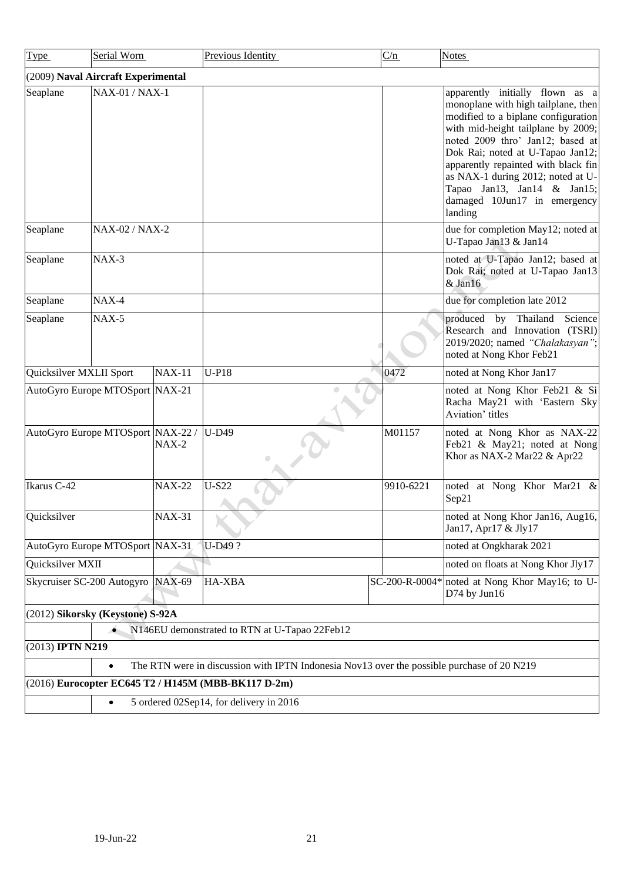<span id="page-20-3"></span><span id="page-20-2"></span><span id="page-20-1"></span><span id="page-20-0"></span>

| Type                              | Serial Worn                                          |               | Previous Identity                                                                          | C/n            | <b>Notes</b>                                                                                                                                                                                                                                                                                                                                                                      |  |
|-----------------------------------|------------------------------------------------------|---------------|--------------------------------------------------------------------------------------------|----------------|-----------------------------------------------------------------------------------------------------------------------------------------------------------------------------------------------------------------------------------------------------------------------------------------------------------------------------------------------------------------------------------|--|
|                                   | (2009) Naval Aircraft Experimental                   |               |                                                                                            |                |                                                                                                                                                                                                                                                                                                                                                                                   |  |
| Seaplane                          | NAX-01 / NAX-1                                       |               |                                                                                            |                | apparently initially flown as a<br>monoplane with high tailplane, then<br>modified to a biplane configuration<br>with mid-height tailplane by 2009;<br>noted 2009 thro' Jan12; based at<br>Dok Rai; noted at U-Tapao Jan12;<br>apparently repainted with black fin<br>as NAX-1 during 2012; noted at U-<br>Tapao Jan13, Jan14 & Jan15;<br>damaged 10Jun17 in emergency<br>landing |  |
| Seaplane                          | NAX-02 / NAX-2                                       |               |                                                                                            |                | due for completion May12; noted at<br>U-Tapao Jan13 & Jan14                                                                                                                                                                                                                                                                                                                       |  |
| Seaplane                          | $\text{MAX-3}$                                       |               |                                                                                            |                | noted at U-Tapao Jan12; based at<br>Dok Rai; noted at U-Tapao Jan13<br>$&$ Jan16                                                                                                                                                                                                                                                                                                  |  |
| Seaplane                          | $NAX-4$                                              |               |                                                                                            |                | due for completion late 2012                                                                                                                                                                                                                                                                                                                                                      |  |
| Seaplane                          | $\text{MAX-5}$                                       |               |                                                                                            |                | produced by Thailand Science<br>Research and Innovation (TSRI)<br>2019/2020; named "Chalakasyan";<br>noted at Nong Khor Feb21                                                                                                                                                                                                                                                     |  |
| Quicksilver MXLII Sport           |                                                      | <b>NAX-11</b> | $U-P18$                                                                                    | 0472           | noted at Nong Khor Jan17                                                                                                                                                                                                                                                                                                                                                          |  |
|                                   | AutoGyro Europe MTOSport NAX-21                      |               |                                                                                            |                | noted at Nong Khor Feb21 & Si<br>Racha May21 with 'Eastern Sky<br>Aviation' titles                                                                                                                                                                                                                                                                                                |  |
|                                   | AutoGyro Europe MTOSport NAX-22 /                    | $NAX-2$       | <b>U-D49</b>                                                                               | M01157         | noted at Nong Khor as NAX-22<br>Feb21 & May21; noted at Nong<br>Khor as NAX-2 Mar22 & Apr22                                                                                                                                                                                                                                                                                       |  |
| Ikarus C-42                       |                                                      | <b>NAX-22</b> | <b>U-S22</b>                                                                               | 9910-6221      | noted at Nong Khor Mar21 &<br>Sep21                                                                                                                                                                                                                                                                                                                                               |  |
| Quicksilver                       |                                                      | <b>NAX-31</b> |                                                                                            |                | noted at Nong Khor Jan16, Aug16,<br>Jan17, Apr17 & Jly17                                                                                                                                                                                                                                                                                                                          |  |
|                                   | AutoGyro Europe MTOSport NAX-31                      |               | U-D49?                                                                                     |                | noted at Ongkharak 2021                                                                                                                                                                                                                                                                                                                                                           |  |
| Quicksilver MXII                  |                                                      |               |                                                                                            |                | noted on floats at Nong Khor Jly17                                                                                                                                                                                                                                                                                                                                                |  |
| Skycruiser SC-200 Autogyro NAX-69 |                                                      |               | HA-XBA                                                                                     | SC-200-R-0004* | noted at Nong Khor May16; to U-<br>D74 by Jun16                                                                                                                                                                                                                                                                                                                                   |  |
|                                   | (2012) Sikorsky (Keystone) S-92A                     |               |                                                                                            |                |                                                                                                                                                                                                                                                                                                                                                                                   |  |
|                                   | ۰                                                    |               | N146EU demonstrated to RTN at U-Tapao 22Feb12                                              |                |                                                                                                                                                                                                                                                                                                                                                                                   |  |
| (2013) IPTN N219                  |                                                      |               |                                                                                            |                |                                                                                                                                                                                                                                                                                                                                                                                   |  |
|                                   | $\bullet$                                            |               | The RTN were in discussion with IPTN Indonesia Nov13 over the possible purchase of 20 N219 |                |                                                                                                                                                                                                                                                                                                                                                                                   |  |
|                                   |                                                      |               | (2016) Eurocopter EC645 T2 / H145M (MBB-BK117 D-2m)                                        |                |                                                                                                                                                                                                                                                                                                                                                                                   |  |
|                                   | 5 ordered 02Sep14, for delivery in 2016<br>$\bullet$ |               |                                                                                            |                |                                                                                                                                                                                                                                                                                                                                                                                   |  |